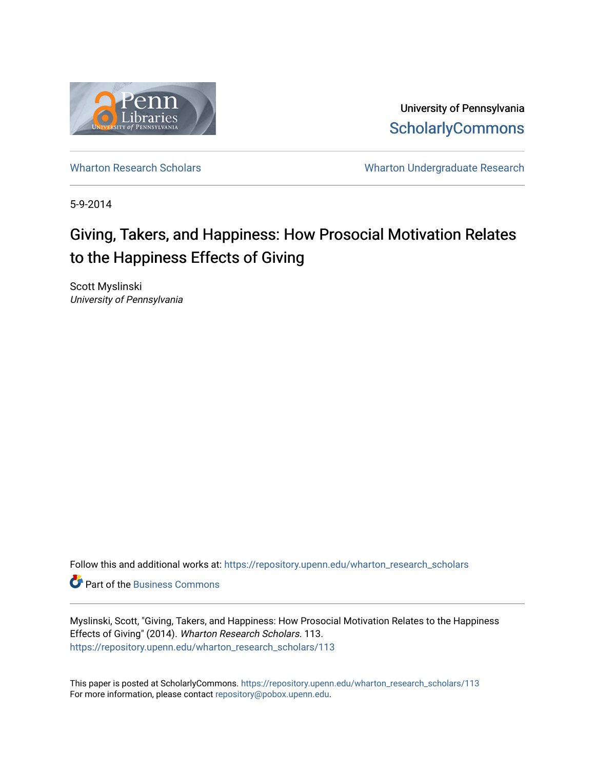

University of Pennsylvania **ScholarlyCommons** 

[Wharton Research Scholars](https://repository.upenn.edu/wharton_research_scholars) **Wharton Undergraduate Research** 

5-9-2014

# Giving, Takers, and Happiness: How Prosocial Motivation Relates to the Happiness Effects of Giving

Scott Myslinski University of Pennsylvania

Follow this and additional works at: [https://repository.upenn.edu/wharton\\_research\\_scholars](https://repository.upenn.edu/wharton_research_scholars?utm_source=repository.upenn.edu%2Fwharton_research_scholars%2F113&utm_medium=PDF&utm_campaign=PDFCoverPages) 

**C** Part of the [Business Commons](http://network.bepress.com/hgg/discipline/622?utm_source=repository.upenn.edu%2Fwharton_research_scholars%2F113&utm_medium=PDF&utm_campaign=PDFCoverPages)

Myslinski, Scott, "Giving, Takers, and Happiness: How Prosocial Motivation Relates to the Happiness Effects of Giving" (2014). Wharton Research Scholars. 113. [https://repository.upenn.edu/wharton\\_research\\_scholars/113](https://repository.upenn.edu/wharton_research_scholars/113?utm_source=repository.upenn.edu%2Fwharton_research_scholars%2F113&utm_medium=PDF&utm_campaign=PDFCoverPages) 

This paper is posted at ScholarlyCommons. [https://repository.upenn.edu/wharton\\_research\\_scholars/113](https://repository.upenn.edu/wharton_research_scholars/113)  For more information, please contact [repository@pobox.upenn.edu.](mailto:repository@pobox.upenn.edu)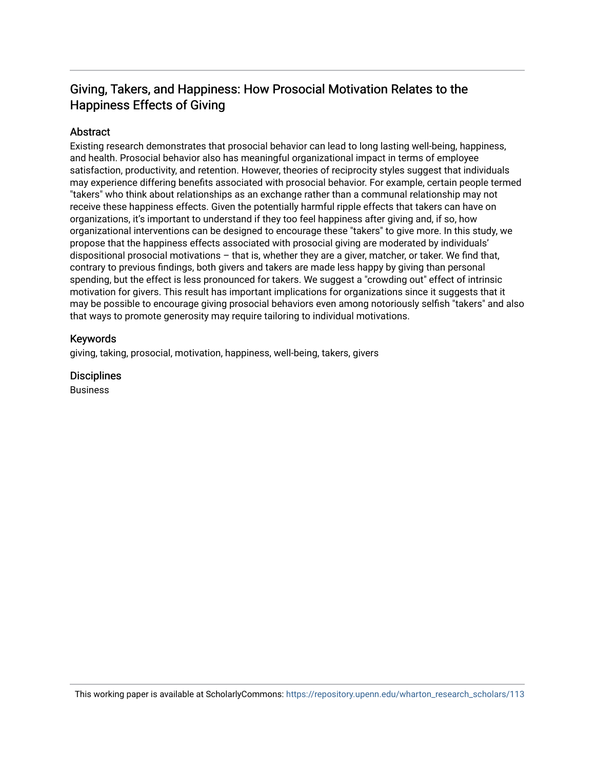## Giving, Takers, and Happiness: How Prosocial Motivation Relates to the Happiness Effects of Giving

#### Abstract

Existing research demonstrates that prosocial behavior can lead to long lasting well-being, happiness, and health. Prosocial behavior also has meaningful organizational impact in terms of employee satisfaction, productivity, and retention. However, theories of reciprocity styles suggest that individuals may experience differing benefits associated with prosocial behavior. For example, certain people termed "takers" who think about relationships as an exchange rather than a communal relationship may not receive these happiness effects. Given the potentially harmful ripple effects that takers can have on organizations, it's important to understand if they too feel happiness after giving and, if so, how organizational interventions can be designed to encourage these "takers" to give more. In this study, we propose that the happiness effects associated with prosocial giving are moderated by individuals' dispositional prosocial motivations – that is, whether they are a giver, matcher, or taker. We find that, contrary to previous findings, both givers and takers are made less happy by giving than personal spending, but the effect is less pronounced for takers. We suggest a "crowding out" effect of intrinsic motivation for givers. This result has important implications for organizations since it suggests that it may be possible to encourage giving prosocial behaviors even among notoriously selfish "takers" and also that ways to promote generosity may require tailoring to individual motivations.

#### Keywords

giving, taking, prosocial, motivation, happiness, well-being, takers, givers

**Disciplines** 

Business

This working paper is available at ScholarlyCommons: [https://repository.upenn.edu/wharton\\_research\\_scholars/113](https://repository.upenn.edu/wharton_research_scholars/113)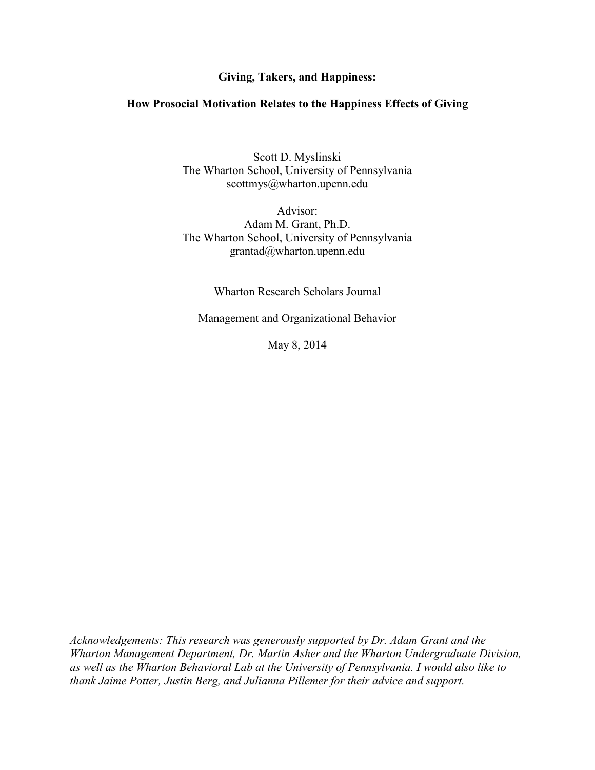#### **Giving, Takers, and Happiness:**

#### **How Prosocial Motivation Relates to the Happiness Effects of Giving**

Scott D. Myslinski The Wharton School, University of Pennsylvania scottmys@wharton.upenn.edu

Advisor: Adam M. Grant, Ph.D. The Wharton School, University of Pennsylvania grantad@wharton.upenn.edu

Wharton Research Scholars Journal

Management and Organizational Behavior

May 8, 2014

*Acknowledgements: This research was generously supported by Dr. Adam Grant and the Wharton Management Department, Dr. Martin Asher and the Wharton Undergraduate Division, as well as the Wharton Behavioral Lab at the University of Pennsylvania. I would also like to thank Jaime Potter, Justin Berg, and Julianna Pillemer for their advice and support.*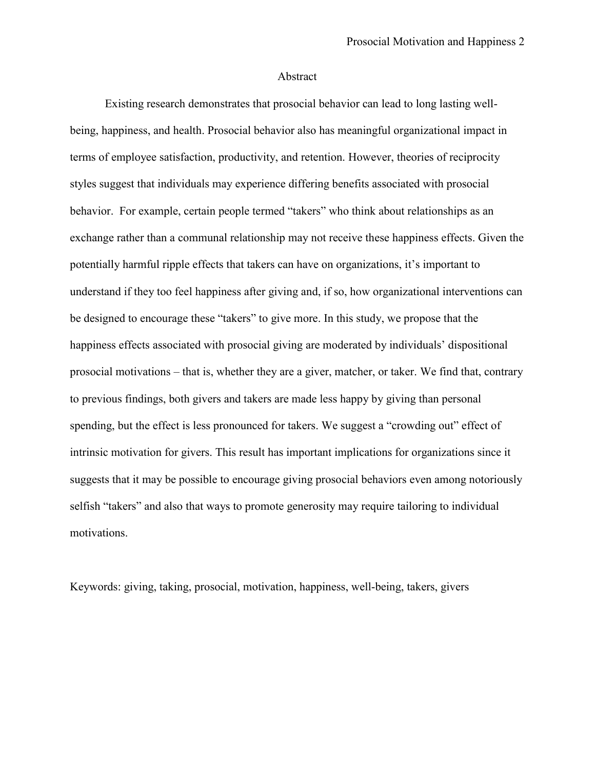#### Abstract

Existing research demonstrates that prosocial behavior can lead to long lasting wellbeing, happiness, and health. Prosocial behavior also has meaningful organizational impact in terms of employee satisfaction, productivity, and retention. However, theories of reciprocity styles suggest that individuals may experience differing benefits associated with prosocial behavior. For example, certain people termed "takers" who think about relationships as an exchange rather than a communal relationship may not receive these happiness effects. Given the potentially harmful ripple effects that takers can have on organizations, it's important to understand if they too feel happiness after giving and, if so, how organizational interventions can be designed to encourage these "takers" to give more. In this study, we propose that the happiness effects associated with prosocial giving are moderated by individuals' dispositional prosocial motivations – that is, whether they are a giver, matcher, or taker. We find that, contrary to previous findings, both givers and takers are made less happy by giving than personal spending, but the effect is less pronounced for takers. We suggest a "crowding out" effect of intrinsic motivation for givers. This result has important implications for organizations since it suggests that it may be possible to encourage giving prosocial behaviors even among notoriously selfish "takers" and also that ways to promote generosity may require tailoring to individual motivations.

Keywords: giving, taking, prosocial, motivation, happiness, well-being, takers, givers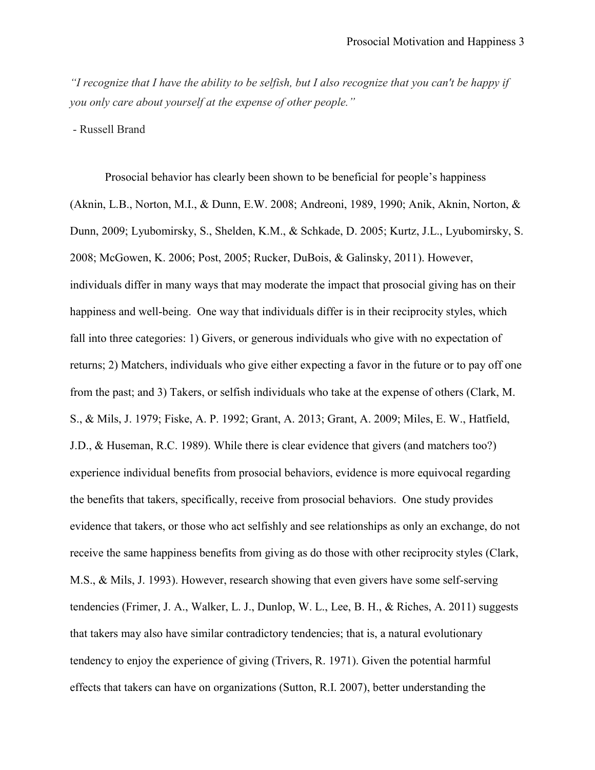*"I recognize that I have the ability to be selfish, but I also recognize that you can't be happy if you only care about yourself at the expense of other people."*

- Russell Brand

Prosocial behavior has clearly been shown to be beneficial for people's happiness (Aknin, L.B., Norton, M.I., & Dunn, E.W. 2008; Andreoni, 1989, 1990; Anik, Aknin, Norton, & Dunn, 2009; Lyubomirsky, S., Shelden, K.M., & Schkade, D. 2005; Kurtz, J.L., Lyubomirsky, S. 2008; McGowen, K. 2006; Post, 2005; Rucker, DuBois, & Galinsky, 2011). However, individuals differ in many ways that may moderate the impact that prosocial giving has on their happiness and well-being. One way that individuals differ is in their reciprocity styles, which fall into three categories: 1) Givers, or generous individuals who give with no expectation of returns; 2) Matchers, individuals who give either expecting a favor in the future or to pay off one from the past; and 3) Takers, or selfish individuals who take at the expense of others (Clark, M. S., & Mils, J. 1979; Fiske, A. P. 1992; Grant, A. 2013; Grant, A. 2009; Miles, E. W., Hatfield, J.D., & Huseman, R.C. 1989). While there is clear evidence that givers (and matchers too?) experience individual benefits from prosocial behaviors, evidence is more equivocal regarding the benefits that takers, specifically, receive from prosocial behaviors. One study provides evidence that takers, or those who act selfishly and see relationships as only an exchange, do not receive the same happiness benefits from giving as do those with other reciprocity styles (Clark, M.S., & Mils, J. 1993). However, research showing that even givers have some self-serving tendencies (Frimer, J. A., Walker, L. J., Dunlop, W. L., Lee, B. H., & Riches, A. 2011) suggests that takers may also have similar contradictory tendencies; that is, a natural evolutionary tendency to enjoy the experience of giving (Trivers, R. 1971). Given the potential harmful effects that takers can have on organizations (Sutton, R.I. 2007), better understanding the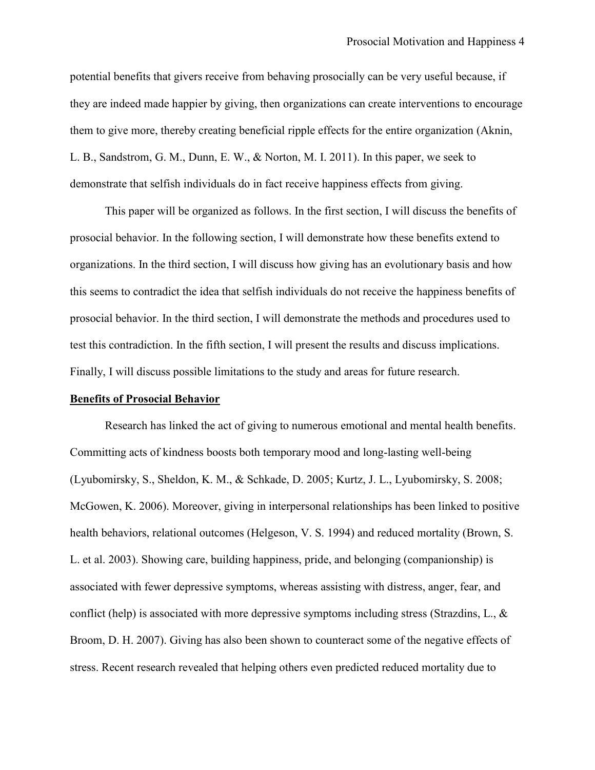potential benefits that givers receive from behaving prosocially can be very useful because, if they are indeed made happier by giving, then organizations can create interventions to encourage them to give more, thereby creating beneficial ripple effects for the entire organization (Aknin, L. B., Sandstrom, G. M., Dunn, E. W., & Norton, M. I. 2011). In this paper, we seek to demonstrate that selfish individuals do in fact receive happiness effects from giving.

This paper will be organized as follows. In the first section, I will discuss the benefits of prosocial behavior. In the following section, I will demonstrate how these benefits extend to organizations. In the third section, I will discuss how giving has an evolutionary basis and how this seems to contradict the idea that selfish individuals do not receive the happiness benefits of prosocial behavior. In the third section, I will demonstrate the methods and procedures used to test this contradiction. In the fifth section, I will present the results and discuss implications. Finally, I will discuss possible limitations to the study and areas for future research.

#### **Benefits of Prosocial Behavior**

Research has linked the act of giving to numerous emotional and mental health benefits. Committing acts of kindness boosts both temporary mood and long-lasting well-being (Lyubomirsky, S., Sheldon, K. M., & Schkade, D. 2005; Kurtz, J. L., Lyubomirsky, S. 2008; McGowen, K. 2006). Moreover, giving in interpersonal relationships has been linked to positive health behaviors, relational outcomes (Helgeson, V. S. 1994) and reduced mortality (Brown, S. L. et al. 2003). Showing care, building happiness, pride, and belonging (companionship) is associated with fewer depressive symptoms, whereas assisting with distress, anger, fear, and conflict (help) is associated with more depressive symptoms including stress (Strazdins, L.,  $\&$ Broom, D. H. 2007). Giving has also been shown to counteract some of the negative effects of stress. Recent research revealed that helping others even predicted reduced mortality due to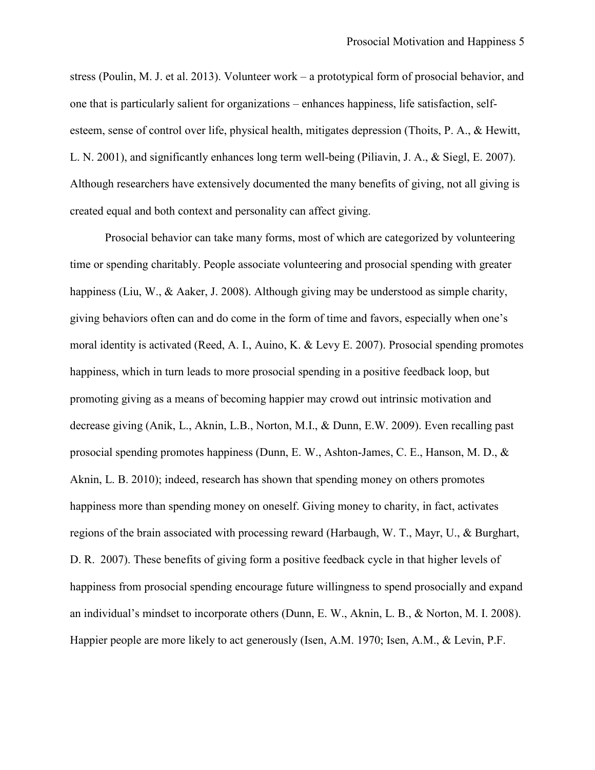stress (Poulin, M. J. et al. 2013). Volunteer work – a prototypical form of prosocial behavior, and one that is particularly salient for organizations – enhances happiness, life satisfaction, selfesteem, sense of control over life, physical health, mitigates depression (Thoits, P. A., & Hewitt, L. N. 2001), and significantly enhances long term well-being (Piliavin, J. A., & Siegl, E. 2007). Although researchers have extensively documented the many benefits of giving, not all giving is created equal and both context and personality can affect giving.

Prosocial behavior can take many forms, most of which are categorized by volunteering time or spending charitably. People associate volunteering and prosocial spending with greater happiness (Liu, W., & Aaker, J. 2008). Although giving may be understood as simple charity, giving behaviors often can and do come in the form of time and favors, especially when one's moral identity is activated (Reed, A. I., Auino, K. & Levy E. 2007). Prosocial spending promotes happiness, which in turn leads to more prosocial spending in a positive feedback loop, but promoting giving as a means of becoming happier may crowd out intrinsic motivation and decrease giving (Anik, L., Aknin, L.B., Norton, M.I., & Dunn, E.W. 2009). Even recalling past prosocial spending promotes happiness (Dunn, E. W., Ashton-James, C. E., Hanson, M. D., & Aknin, L. B. 2010); indeed, research has shown that spending money on others promotes happiness more than spending money on oneself. Giving money to charity, in fact, activates regions of the brain associated with processing reward (Harbaugh, W. T., Mayr, U., & Burghart, D. R. 2007). These benefits of giving form a positive feedback cycle in that higher levels of happiness from prosocial spending encourage future willingness to spend prosocially and expand an individual's mindset to incorporate others (Dunn, E. W., Aknin, L. B., & Norton, M. I. 2008). Happier people are more likely to act generously (Isen, A.M. 1970; Isen, A.M., & Levin, P.F.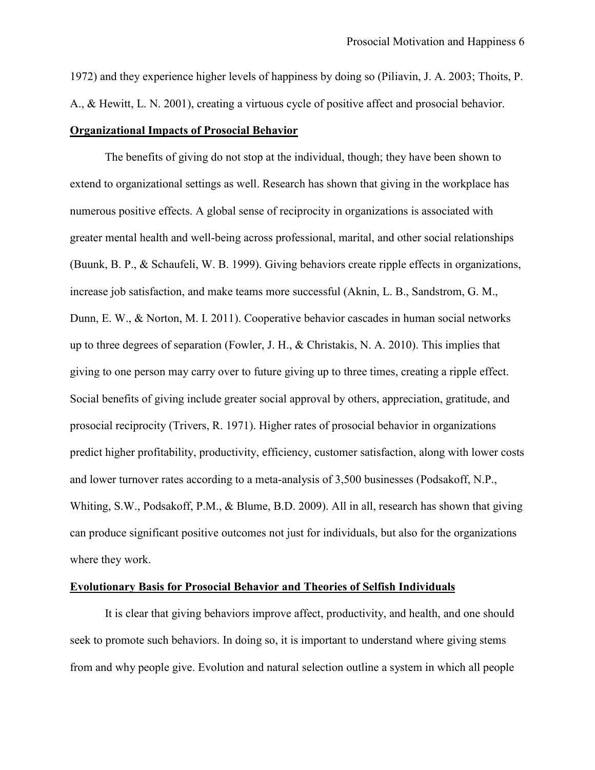1972) and they experience higher levels of happiness by doing so (Piliavin, J. A. 2003; Thoits, P. A., & Hewitt, L. N. 2001), creating a virtuous cycle of positive affect and prosocial behavior.

#### **Organizational Impacts of Prosocial Behavior**

The benefits of giving do not stop at the individual, though; they have been shown to extend to organizational settings as well. Research has shown that giving in the workplace has numerous positive effects. A global sense of reciprocity in organizations is associated with greater mental health and well-being across professional, marital, and other social relationships (Buunk, B. P., & Schaufeli, W. B. 1999). Giving behaviors create ripple effects in organizations, increase job satisfaction, and make teams more successful (Aknin, L. B., Sandstrom, G. M., Dunn, E. W., & Norton, M. I. 2011). Cooperative behavior cascades in human social networks up to three degrees of separation (Fowler, J. H., & Christakis, N. A. 2010). This implies that giving to one person may carry over to future giving up to three times, creating a ripple effect. Social benefits of giving include greater social approval by others, appreciation, gratitude, and prosocial reciprocity (Trivers, R. 1971). Higher rates of prosocial behavior in organizations predict higher profitability, productivity, efficiency, customer satisfaction, along with lower costs and lower turnover rates according to a meta-analysis of 3,500 businesses (Podsakoff, N.P., Whiting, S.W., Podsakoff, P.M., & Blume, B.D. 2009). All in all, research has shown that giving can produce significant positive outcomes not just for individuals, but also for the organizations where they work.

#### **Evolutionary Basis for Prosocial Behavior and Theories of Selfish Individuals**

It is clear that giving behaviors improve affect, productivity, and health, and one should seek to promote such behaviors. In doing so, it is important to understand where giving stems from and why people give. Evolution and natural selection outline a system in which all people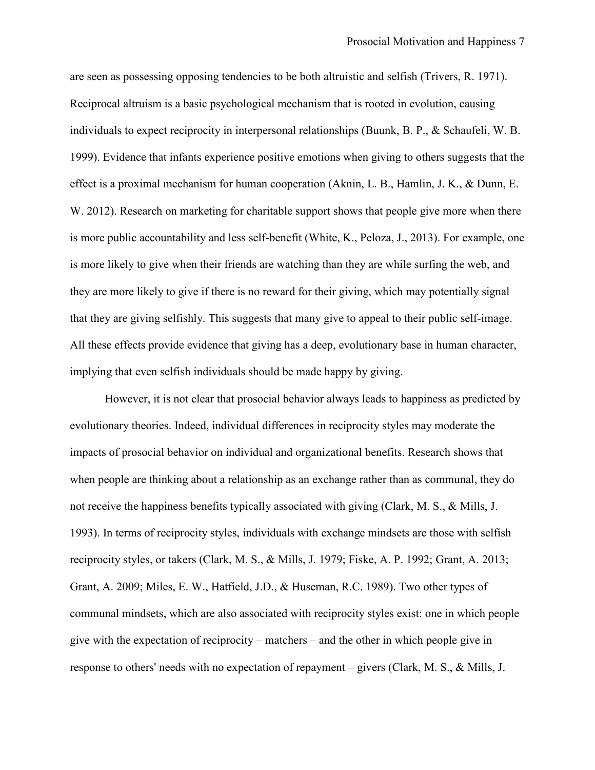are seen as possessing opposing tendencies to be both altruistic and selfish (Trivers, R. 1971). Reciprocal altruism is a basic psychological mechanism that is rooted in evolution, causing individuals to expect reciprocity in interpersonal relationships (Buunk, B. P., & Schaufeli, W. B. 1999). Evidence that infants experience positive emotions when giving to others suggests that the effect is a proximal mechanism for human cooperation (Aknin, L. B., Hamlin, J. K., & Dunn, E. W. 2012). Research on marketing for charitable support shows that people give more when there is more public accountability and less self-benefit (White, K., Peloza, J., 2013). For example, one is more likely to give when their friends are watching than they are while surfing the web, and they are more likely to give if there is no reward for their giving, which may potentially signal that they are giving selfishly. This suggests that many give to appeal to their public self-image. All these effects provide evidence that giving has a deep, evolutionary base in human character, implying that even selfish individuals should be made happy by giving.

However, it is not clear that prosocial behavior always leads to happiness as predicted by evolutionary theories. Indeed, individual differences in reciprocity styles may moderate the impacts of prosocial behavior on individual and organizational benefits. Research shows that when people are thinking about a relationship as an exchange rather than as communal, they do not receive the happiness benefits typically associated with giving (Clark, M. S., & Mills, J. 1993). In terms of reciprocity styles, individuals with exchange mindsets are those with selfish reciprocity styles, or takers (Clark, M. S., & Mills, J. 1979; Fiske, A. P. 1992; Grant, A. 2013; Grant, A. 2009; Miles, E. W., Hatfield, J.D., & Huseman, R.C. 1989). Two other types of communal mindsets, which are also associated with reciprocity styles exist: one in which people give with the expectation of reciprocity – matchers – and the other in which people give in response to others' needs with no expectation of repayment – givers (Clark, M. S., & Mills, J.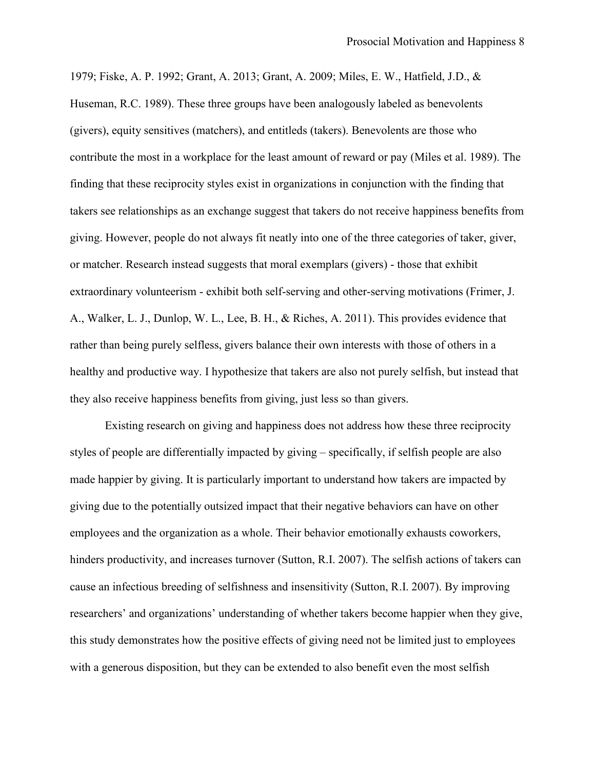1979; Fiske, A. P. 1992; Grant, A. 2013; Grant, A. 2009; Miles, E. W., Hatfield, J.D., & Huseman, R.C. 1989). These three groups have been analogously labeled as benevolents (givers), equity sensitives (matchers), and entitleds (takers). Benevolents are those who contribute the most in a workplace for the least amount of reward or pay (Miles et al. 1989). The finding that these reciprocity styles exist in organizations in conjunction with the finding that takers see relationships as an exchange suggest that takers do not receive happiness benefits from giving. However, people do not always fit neatly into one of the three categories of taker, giver, or matcher. Research instead suggests that moral exemplars (givers) - those that exhibit extraordinary volunteerism - exhibit both self-serving and other-serving motivations (Frimer, J. A., Walker, L. J., Dunlop, W. L., Lee, B. H., & Riches, A. 2011). This provides evidence that rather than being purely selfless, givers balance their own interests with those of others in a healthy and productive way. I hypothesize that takers are also not purely selfish, but instead that they also receive happiness benefits from giving, just less so than givers.

Existing research on giving and happiness does not address how these three reciprocity styles of people are differentially impacted by giving – specifically, if selfish people are also made happier by giving. It is particularly important to understand how takers are impacted by giving due to the potentially outsized impact that their negative behaviors can have on other employees and the organization as a whole. Their behavior emotionally exhausts coworkers, hinders productivity, and increases turnover (Sutton, R.I. 2007). The selfish actions of takers can cause an infectious breeding of selfishness and insensitivity (Sutton, R.I. 2007). By improving researchers' and organizations' understanding of whether takers become happier when they give, this study demonstrates how the positive effects of giving need not be limited just to employees with a generous disposition, but they can be extended to also benefit even the most selfish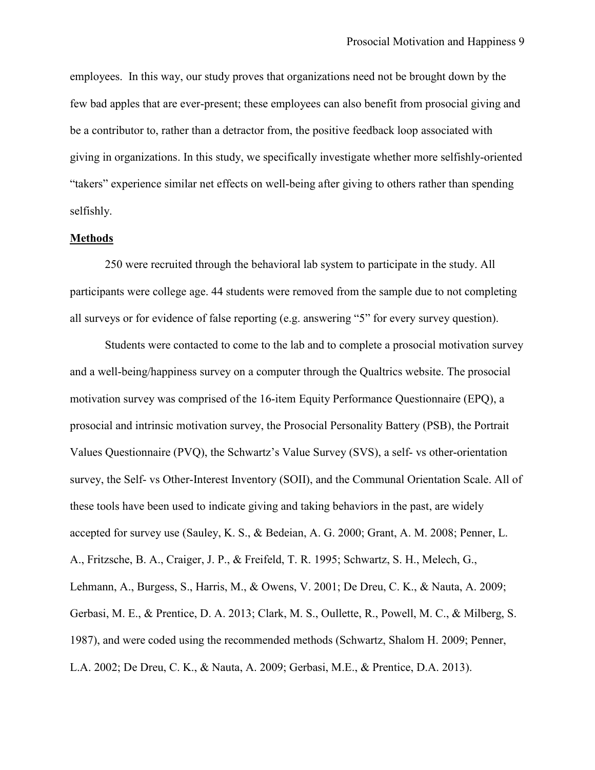employees. In this way, our study proves that organizations need not be brought down by the few bad apples that are ever-present; these employees can also benefit from prosocial giving and be a contributor to, rather than a detractor from, the positive feedback loop associated with giving in organizations. In this study, we specifically investigate whether more selfishly-oriented "takers" experience similar net effects on well-being after giving to others rather than spending selfishly.

#### **Methods**

250 were recruited through the behavioral lab system to participate in the study. All participants were college age. 44 students were removed from the sample due to not completing all surveys or for evidence of false reporting (e.g. answering "5" for every survey question).

Students were contacted to come to the lab and to complete a prosocial motivation survey and a well-being/happiness survey on a computer through the Qualtrics website. The prosocial motivation survey was comprised of the 16-item Equity Performance Questionnaire (EPQ), a prosocial and intrinsic motivation survey, the Prosocial Personality Battery (PSB), the Portrait Values Questionnaire (PVQ), the Schwartz's Value Survey (SVS), a self- vs other-orientation survey, the Self- vs Other-Interest Inventory (SOII), and the Communal Orientation Scale. All of these tools have been used to indicate giving and taking behaviors in the past, are widely accepted for survey use (Sauley, K. S., & Bedeian, A. G. 2000; Grant, A. M. 2008; Penner, L. A., Fritzsche, B. A., Craiger, J. P., & Freifeld, T. R. 1995; Schwartz, S. H., Melech, G., Lehmann, A., Burgess, S., Harris, M., & Owens, V. 2001; De Dreu, C. K., & Nauta, A. 2009; Gerbasi, M. E., & Prentice, D. A. 2013; Clark, M. S., Oullette, R., Powell, M. C., & Milberg, S. 1987), and were coded using the recommended methods (Schwartz, Shalom H. 2009; Penner, L.A. 2002; De Dreu, C. K., & Nauta, A. 2009; Gerbasi, M.E., & Prentice, D.A. 2013).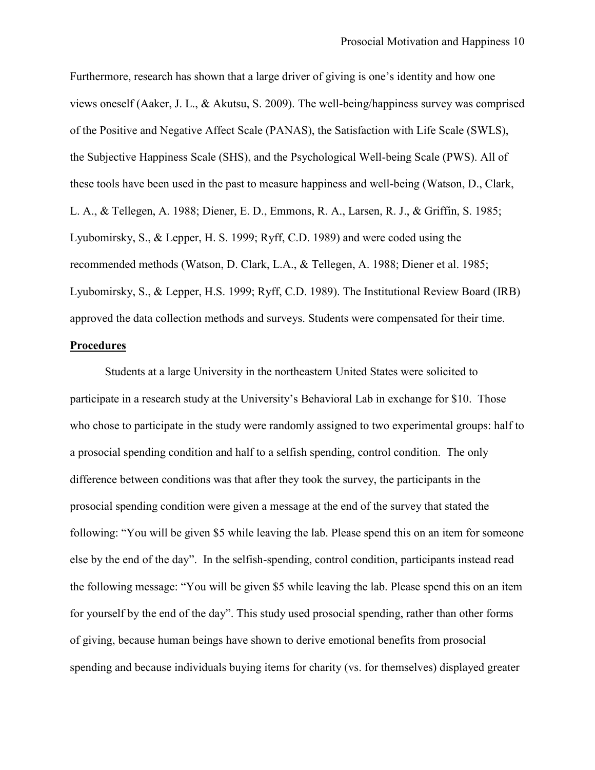Furthermore, research has shown that a large driver of giving is one's identity and how one views oneself (Aaker, J. L., & Akutsu, S. 2009). The well-being/happiness survey was comprised of the Positive and Negative Affect Scale (PANAS), the Satisfaction with Life Scale (SWLS), the Subjective Happiness Scale (SHS), and the Psychological Well-being Scale (PWS). All of these tools have been used in the past to measure happiness and well-being (Watson, D., Clark, L. A., & Tellegen, A. 1988; Diener, E. D., Emmons, R. A., Larsen, R. J., & Griffin, S. 1985; Lyubomirsky, S., & Lepper, H. S. 1999; Ryff, C.D. 1989) and were coded using the recommended methods (Watson, D. Clark, L.A., & Tellegen, A. 1988; Diener et al. 1985; Lyubomirsky, S., & Lepper, H.S. 1999; Ryff, C.D. 1989). The Institutional Review Board (IRB) approved the data collection methods and surveys. Students were compensated for their time.

#### **Procedures**

Students at a large University in the northeastern United States were solicited to participate in a research study at the University's Behavioral Lab in exchange for \$10. Those who chose to participate in the study were randomly assigned to two experimental groups: half to a prosocial spending condition and half to a selfish spending, control condition. The only difference between conditions was that after they took the survey, the participants in the prosocial spending condition were given a message at the end of the survey that stated the following: "You will be given \$5 while leaving the lab. Please spend this on an item for someone else by the end of the day". In the selfish-spending, control condition, participants instead read the following message: "You will be given \$5 while leaving the lab. Please spend this on an item for yourself by the end of the day". This study used prosocial spending, rather than other forms of giving, because human beings have shown to derive emotional benefits from prosocial spending and because individuals buying items for charity (vs. for themselves) displayed greater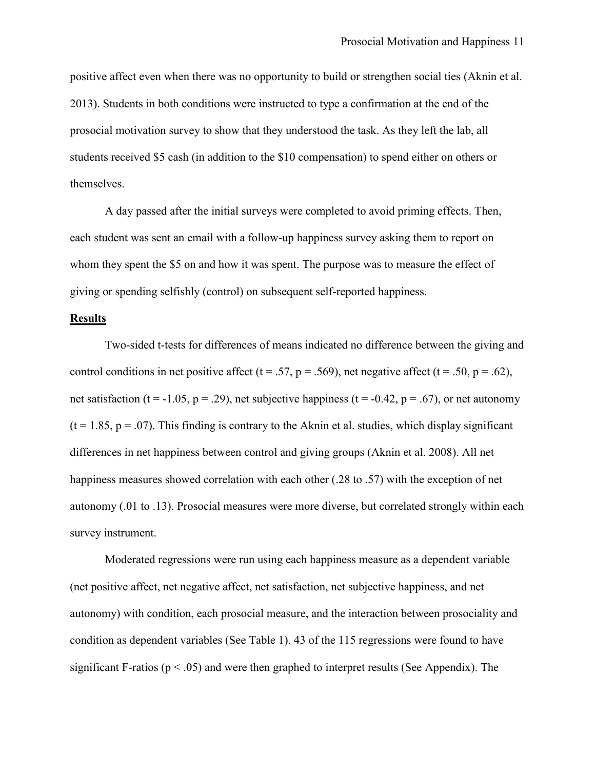positive affect even when there was no opportunity to build or strengthen social ties (Aknin et al. 2013). Students in both conditions were instructed to type a confirmation at the end of the prosocial motivation survey to show that they understood the task. As they left the lab, all students received \$5 cash (in addition to the \$10 compensation) to spend either on others or themselves.

A day passed after the initial surveys were completed to avoid priming effects. Then, each student was sent an email with a follow-up happiness survey asking them to report on whom they spent the \$5 on and how it was spent. The purpose was to measure the effect of giving or spending selfishly (control) on subsequent self-reported happiness.

#### **Results**

Two-sided t-tests for differences of means indicated no difference between the giving and control conditions in net positive affect (t = .57, p = .569), net negative affect (t = .50, p = .62), net satisfaction (t = -1.05, p = .29), net subjective happiness (t = -0.42, p = .67), or net autonomy  $(t = 1.85, p = .07)$ . This finding is contrary to the Aknin et al. studies, which display significant differences in net happiness between control and giving groups (Aknin et al. 2008). All net happiness measures showed correlation with each other (.28 to .57) with the exception of net autonomy (.01 to .13). Prosocial measures were more diverse, but correlated strongly within each survey instrument.

Moderated regressions were run using each happiness measure as a dependent variable (net positive affect, net negative affect, net satisfaction, net subjective happiness, and net autonomy) with condition, each prosocial measure, and the interaction between prosociality and condition as dependent variables (See Table 1). 43 of the 115 regressions were found to have significant F-ratios ( $p < .05$ ) and were then graphed to interpret results (See Appendix). The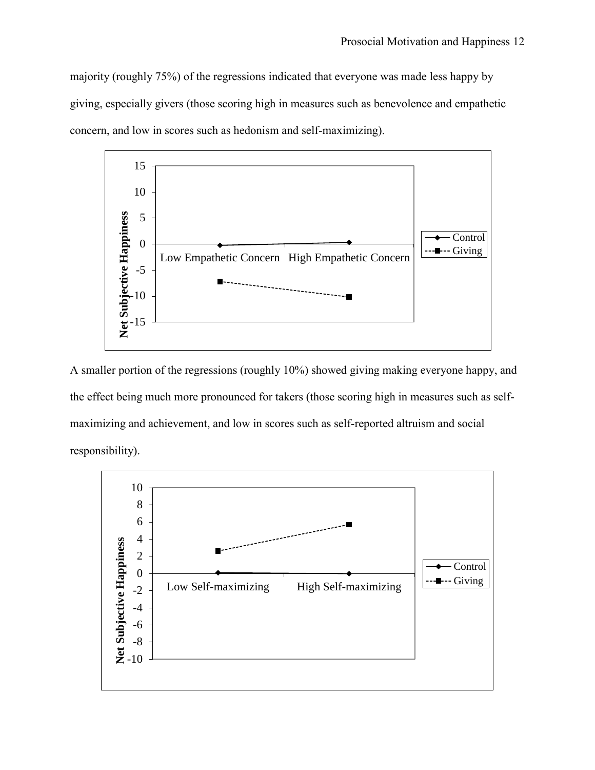majority (roughly 75%) of the regressions indicated that everyone was made less happy by giving, especially givers (those scoring high in measures such as benevolence and empathetic concern, and low in scores such as hedonism and self-maximizing).



A smaller portion of the regressions (roughly 10%) showed giving making everyone happy, and the effect being much more pronounced for takers (those scoring high in measures such as selfmaximizing and achievement, and low in scores such as self-reported altruism and social responsibility).

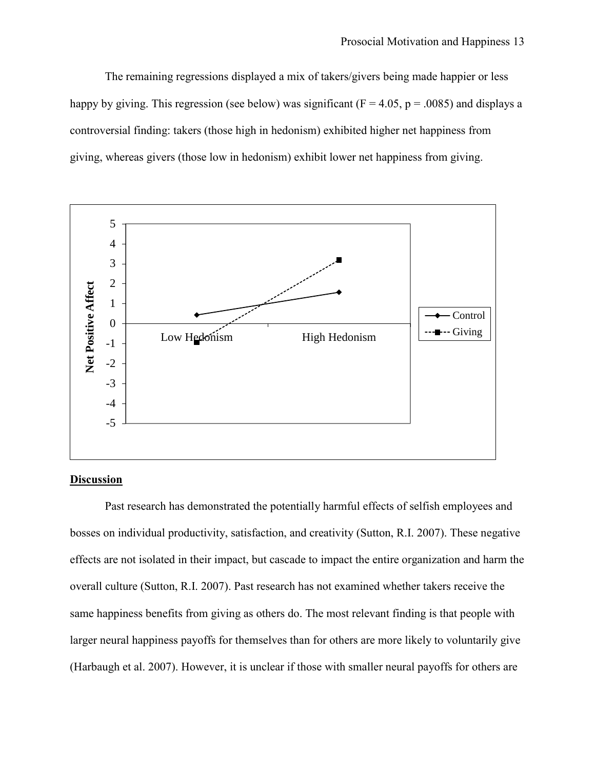The remaining regressions displayed a mix of takers/givers being made happier or less happy by giving. This regression (see below) was significant ( $F = 4.05$ ,  $p = .0085$ ) and displays a controversial finding: takers (those high in hedonism) exhibited higher net happiness from giving, whereas givers (those low in hedonism) exhibit lower net happiness from giving.



#### **Discussion**

Past research has demonstrated the potentially harmful effects of selfish employees and bosses on individual productivity, satisfaction, and creativity (Sutton, R.I. 2007). These negative effects are not isolated in their impact, but cascade to impact the entire organization and harm the overall culture (Sutton, R.I. 2007). Past research has not examined whether takers receive the same happiness benefits from giving as others do. The most relevant finding is that people with larger neural happiness payoffs for themselves than for others are more likely to voluntarily give (Harbaugh et al. 2007). However, it is unclear if those with smaller neural payoffs for others are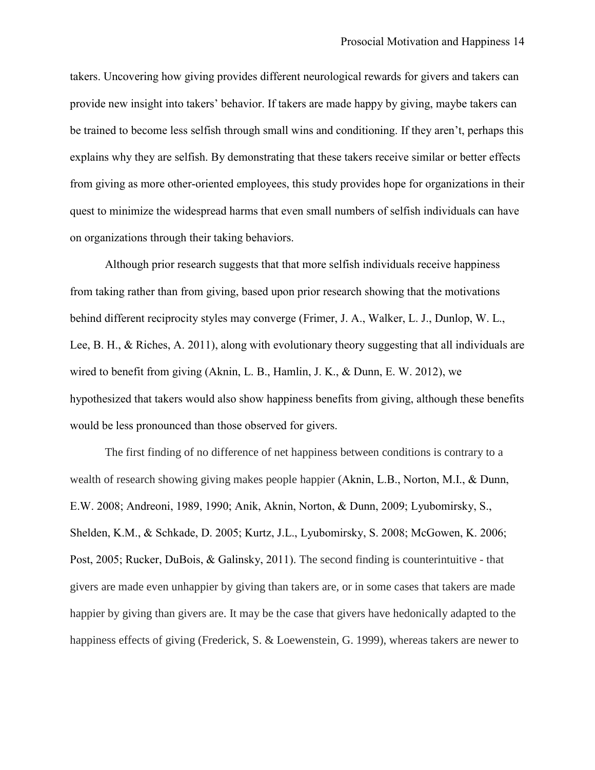takers. Uncovering how giving provides different neurological rewards for givers and takers can provide new insight into takers' behavior. If takers are made happy by giving, maybe takers can be trained to become less selfish through small wins and conditioning. If they aren't, perhaps this explains why they are selfish. By demonstrating that these takers receive similar or better effects from giving as more other-oriented employees, this study provides hope for organizations in their quest to minimize the widespread harms that even small numbers of selfish individuals can have on organizations through their taking behaviors.

Although prior research suggests that that more selfish individuals receive happiness from taking rather than from giving, based upon prior research showing that the motivations behind different reciprocity styles may converge (Frimer, J. A., Walker, L. J., Dunlop, W. L., Lee, B. H., & Riches, A. 2011), along with evolutionary theory suggesting that all individuals are wired to benefit from giving (Aknin, L. B., Hamlin, J. K., & Dunn, E. W. 2012), we hypothesized that takers would also show happiness benefits from giving, although these benefits would be less pronounced than those observed for givers.

The first finding of no difference of net happiness between conditions is contrary to a wealth of research showing giving makes people happier (Aknin, L.B., Norton, M.I., & Dunn, E.W. 2008; Andreoni, 1989, 1990; Anik, Aknin, Norton, & Dunn, 2009; Lyubomirsky, S., Shelden, K.M., & Schkade, D. 2005; Kurtz, J.L., Lyubomirsky, S. 2008; McGowen, K. 2006; Post, 2005; Rucker, DuBois, & Galinsky, 2011). The second finding is counterintuitive - that givers are made even unhappier by giving than takers are, or in some cases that takers are made happier by giving than givers are. It may be the case that givers have hedonically adapted to the happiness effects of giving (Frederick, S. & Loewenstein, G. 1999), whereas takers are newer to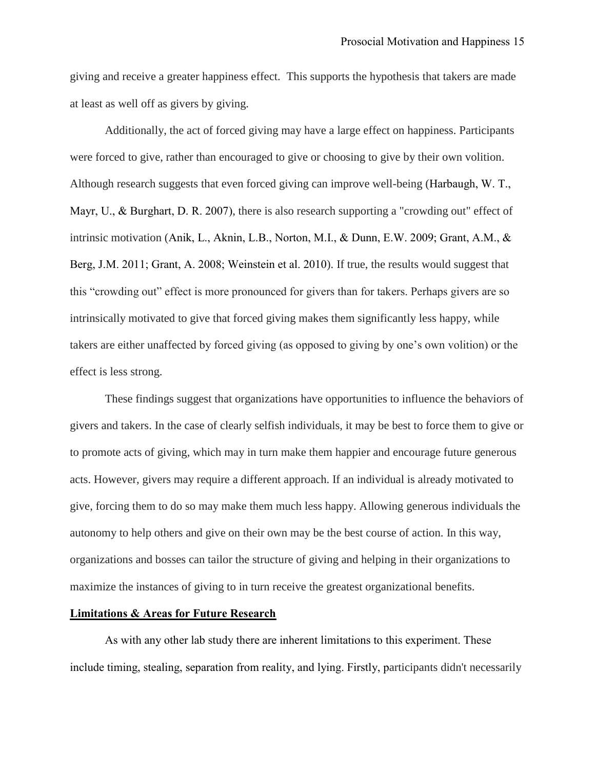giving and receive a greater happiness effect. This supports the hypothesis that takers are made at least as well off as givers by giving.

Additionally, the act of forced giving may have a large effect on happiness. Participants were forced to give, rather than encouraged to give or choosing to give by their own volition. Although research suggests that even forced giving can improve well-being (Harbaugh, W. T., Mayr, U., & Burghart, D. R. 2007), there is also research supporting a "crowding out" effect of intrinsic motivation (Anik, L., Aknin, L.B., Norton, M.I., & Dunn, E.W. 2009; Grant, A.M., & Berg, J.M. 2011; Grant, A. 2008; Weinstein et al. 2010). If true, the results would suggest that this "crowding out" effect is more pronounced for givers than for takers. Perhaps givers are so intrinsically motivated to give that forced giving makes them significantly less happy, while takers are either unaffected by forced giving (as opposed to giving by one's own volition) or the effect is less strong.

These findings suggest that organizations have opportunities to influence the behaviors of givers and takers. In the case of clearly selfish individuals, it may be best to force them to give or to promote acts of giving, which may in turn make them happier and encourage future generous acts. However, givers may require a different approach. If an individual is already motivated to give, forcing them to do so may make them much less happy. Allowing generous individuals the autonomy to help others and give on their own may be the best course of action. In this way, organizations and bosses can tailor the structure of giving and helping in their organizations to maximize the instances of giving to in turn receive the greatest organizational benefits.

#### **Limitations & Areas for Future Research**

As with any other lab study there are inherent limitations to this experiment. These include timing, stealing, separation from reality, and lying. Firstly, participants didn't necessarily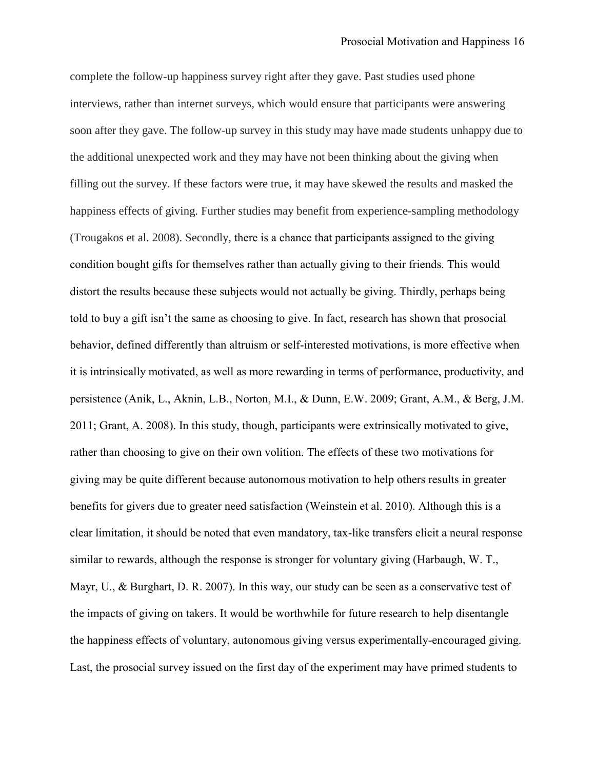complete the follow-up happiness survey right after they gave. Past studies used phone interviews, rather than internet surveys, which would ensure that participants were answering soon after they gave. The follow-up survey in this study may have made students unhappy due to the additional unexpected work and they may have not been thinking about the giving when filling out the survey. If these factors were true, it may have skewed the results and masked the happiness effects of giving. Further studies may benefit from experience-sampling methodology (Trougakos et al. 2008). Secondly, there is a chance that participants assigned to the giving condition bought gifts for themselves rather than actually giving to their friends. This would distort the results because these subjects would not actually be giving. Thirdly, perhaps being told to buy a gift isn't the same as choosing to give. In fact, research has shown that prosocial behavior, defined differently than altruism or self-interested motivations, is more effective when it is intrinsically motivated, as well as more rewarding in terms of performance, productivity, and persistence (Anik, L., Aknin, L.B., Norton, M.I., & Dunn, E.W. 2009; Grant, A.M., & Berg, J.M. 2011; Grant, A. 2008). In this study, though, participants were extrinsically motivated to give, rather than choosing to give on their own volition. The effects of these two motivations for giving may be quite different because autonomous motivation to help others results in greater benefits for givers due to greater need satisfaction (Weinstein et al. 2010). Although this is a clear limitation, it should be noted that even mandatory, tax-like transfers elicit a neural response similar to rewards, although the response is stronger for voluntary giving (Harbaugh, W. T., Mayr, U., & Burghart, D. R. 2007). In this way, our study can be seen as a conservative test of the impacts of giving on takers. It would be worthwhile for future research to help disentangle the happiness effects of voluntary, autonomous giving versus experimentally-encouraged giving. Last, the prosocial survey issued on the first day of the experiment may have primed students to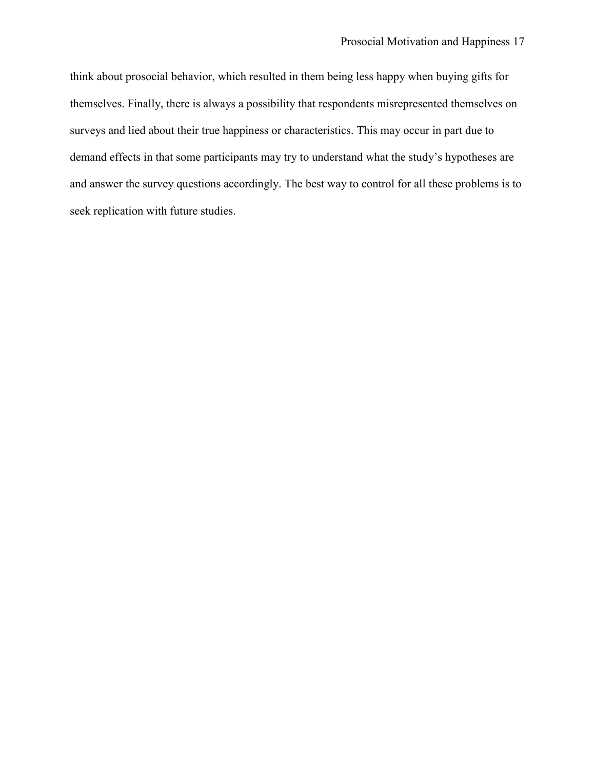think about prosocial behavior, which resulted in them being less happy when buying gifts for themselves. Finally, there is always a possibility that respondents misrepresented themselves on surveys and lied about their true happiness or characteristics. This may occur in part due to demand effects in that some participants may try to understand what the study's hypotheses are and answer the survey questions accordingly. The best way to control for all these problems is to seek replication with future studies.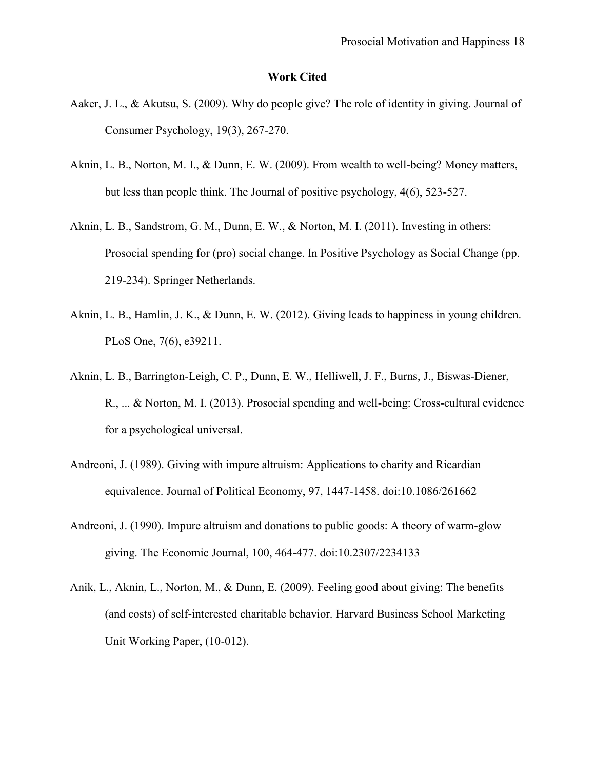#### **Work Cited**

- Aaker, J. L., & Akutsu, S. (2009). Why do people give? The role of identity in giving. Journal of Consumer Psychology, 19(3), 267-270.
- Aknin, L. B., Norton, M. I., & Dunn, E. W. (2009). From wealth to well-being? Money matters, but less than people think. The Journal of positive psychology, 4(6), 523-527.
- Aknin, L. B., Sandstrom, G. M., Dunn, E. W., & Norton, M. I. (2011). Investing in others: Prosocial spending for (pro) social change. In Positive Psychology as Social Change (pp. 219-234). Springer Netherlands.
- Aknin, L. B., Hamlin, J. K., & Dunn, E. W. (2012). Giving leads to happiness in young children. PLoS One, 7(6), e39211.
- Aknin, L. B., Barrington-Leigh, C. P., Dunn, E. W., Helliwell, J. F., Burns, J., Biswas-Diener, R., ... & Norton, M. I. (2013). Prosocial spending and well-being: Cross-cultural evidence for a psychological universal.
- Andreoni, J. (1989). Giving with impure altruism: Applications to charity and Ricardian equivalence. Journal of Political Economy, 97, 1447-1458. doi:10.1086/261662
- Andreoni, J. (1990). Impure altruism and donations to public goods: A theory of warm-glow giving. The Economic Journal, 100, 464-477. doi:10.2307/2234133
- Anik, L., Aknin, L., Norton, M., & Dunn, E. (2009). Feeling good about giving: The benefits (and costs) of self-interested charitable behavior. Harvard Business School Marketing Unit Working Paper, (10-012).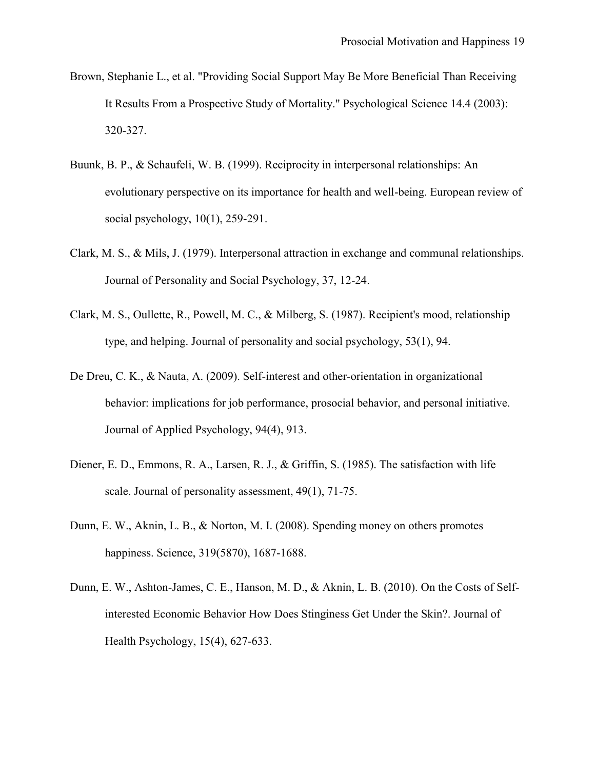- Brown, Stephanie L., et al. "Providing Social Support May Be More Beneficial Than Receiving It Results From a Prospective Study of Mortality." Psychological Science 14.4 (2003): 320-327.
- Buunk, B. P., & Schaufeli, W. B. (1999). Reciprocity in interpersonal relationships: An evolutionary perspective on its importance for health and well-being. European review of social psychology, 10(1), 259-291.
- Clark, M. S., & Mils, J. (1979). Interpersonal attraction in exchange and communal relationships. Journal of Personality and Social Psychology, 37, 12-24.
- Clark, M. S., Oullette, R., Powell, M. C., & Milberg, S. (1987). Recipient's mood, relationship type, and helping. Journal of personality and social psychology, 53(1), 94.
- De Dreu, C. K., & Nauta, A. (2009). Self-interest and other-orientation in organizational behavior: implications for job performance, prosocial behavior, and personal initiative. Journal of Applied Psychology, 94(4), 913.
- Diener, E. D., Emmons, R. A., Larsen, R. J., & Griffin, S. (1985). The satisfaction with life scale. Journal of personality assessment, 49(1), 71-75.
- Dunn, E. W., Aknin, L. B., & Norton, M. I. (2008). Spending money on others promotes happiness. Science, 319(5870), 1687-1688.
- Dunn, E. W., Ashton-James, C. E., Hanson, M. D., & Aknin, L. B. (2010). On the Costs of Selfinterested Economic Behavior How Does Stinginess Get Under the Skin?. Journal of Health Psychology, 15(4), 627-633.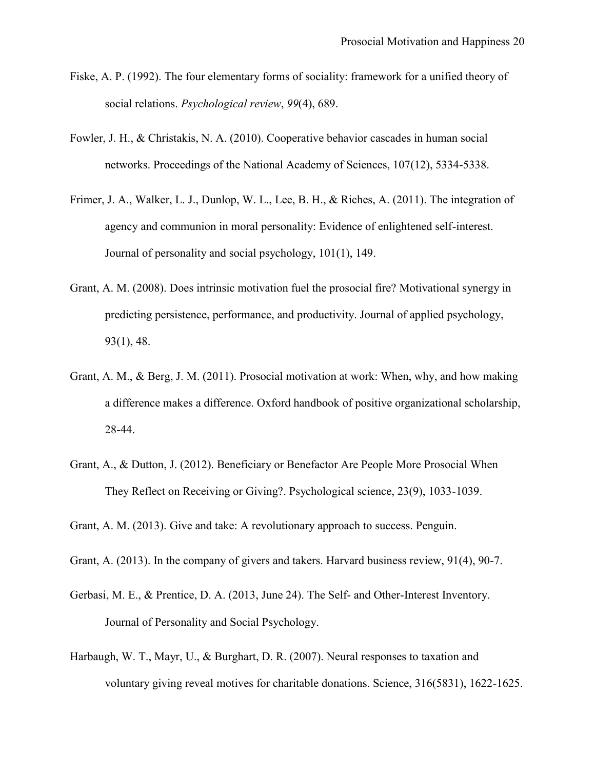- Fiske, A. P. (1992). The four elementary forms of sociality: framework for a unified theory of social relations. *Psychological review*, *99*(4), 689.
- Fowler, J. H., & Christakis, N. A. (2010). Cooperative behavior cascades in human social networks. Proceedings of the National Academy of Sciences, 107(12), 5334-5338.
- Frimer, J. A., Walker, L. J., Dunlop, W. L., Lee, B. H., & Riches, A. (2011). The integration of agency and communion in moral personality: Evidence of enlightened self-interest. Journal of personality and social psychology, 101(1), 149.
- Grant, A. M. (2008). Does intrinsic motivation fuel the prosocial fire? Motivational synergy in predicting persistence, performance, and productivity. Journal of applied psychology, 93(1), 48.
- Grant, A. M., & Berg, J. M. (2011). Prosocial motivation at work: When, why, and how making a difference makes a difference. Oxford handbook of positive organizational scholarship, 28-44.
- Grant, A., & Dutton, J. (2012). Beneficiary or Benefactor Are People More Prosocial When They Reflect on Receiving or Giving?. Psychological science, 23(9), 1033-1039.

Grant, A. M. (2013). Give and take: A revolutionary approach to success. Penguin.

- Grant, A. (2013). In the company of givers and takers. Harvard business review, 91(4), 90-7.
- Gerbasi, M. E., & Prentice, D. A. (2013, June 24). The Self- and Other-Interest Inventory. Journal of Personality and Social Psychology.
- Harbaugh, W. T., Mayr, U., & Burghart, D. R. (2007). Neural responses to taxation and voluntary giving reveal motives for charitable donations. Science, 316(5831), 1622-1625.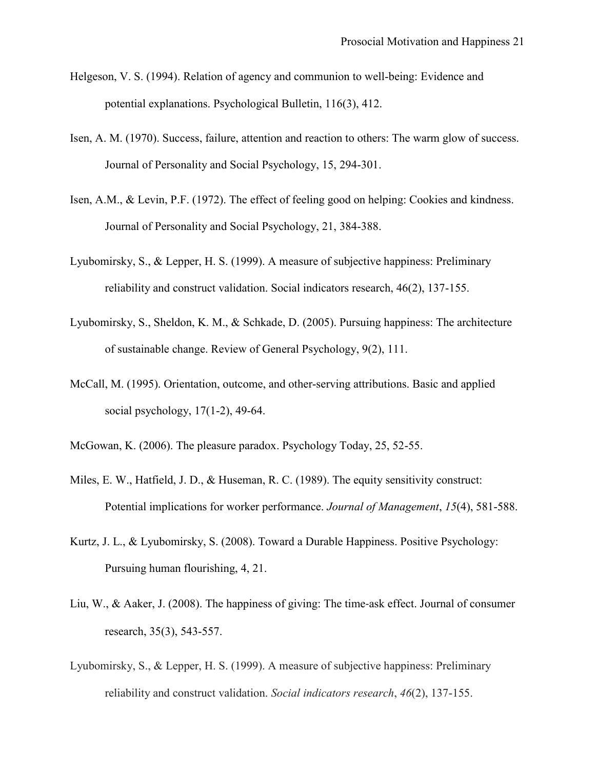- Helgeson, V. S. (1994). Relation of agency and communion to well-being: Evidence and potential explanations. Psychological Bulletin, 116(3), 412.
- Isen, A. M. (1970). Success, failure, attention and reaction to others: The warm glow of success. Journal of Personality and Social Psychology, 15, 294-301.
- Isen, A.M., & Levin, P.F. (1972). The effect of feeling good on helping: Cookies and kindness. Journal of Personality and Social Psychology, 21, 384-388.
- Lyubomirsky, S., & Lepper, H. S. (1999). A measure of subjective happiness: Preliminary reliability and construct validation. Social indicators research, 46(2), 137-155.
- Lyubomirsky, S., Sheldon, K. M., & Schkade, D. (2005). Pursuing happiness: The architecture of sustainable change. Review of General Psychology, 9(2), 111.
- McCall, M. (1995). Orientation, outcome, and other-serving attributions. Basic and applied social psychology, 17(1-2), 49-64.
- McGowan, K. (2006). The pleasure paradox. Psychology Today, 25, 52-55.
- Miles, E. W., Hatfield, J. D., & Huseman, R. C. (1989). The equity sensitivity construct: Potential implications for worker performance. *Journal of Management*, *15*(4), 581-588.
- Kurtz, J. L., & Lyubomirsky, S. (2008). Toward a Durable Happiness. Positive Psychology: Pursuing human flourishing, 4, 21.
- Liu, W., & Aaker, J. (2008). The happiness of giving: The time‐ask effect. Journal of consumer research, 35(3), 543-557.
- Lyubomirsky, S., & Lepper, H. S. (1999). A measure of subjective happiness: Preliminary reliability and construct validation. *Social indicators research*, *46*(2), 137-155.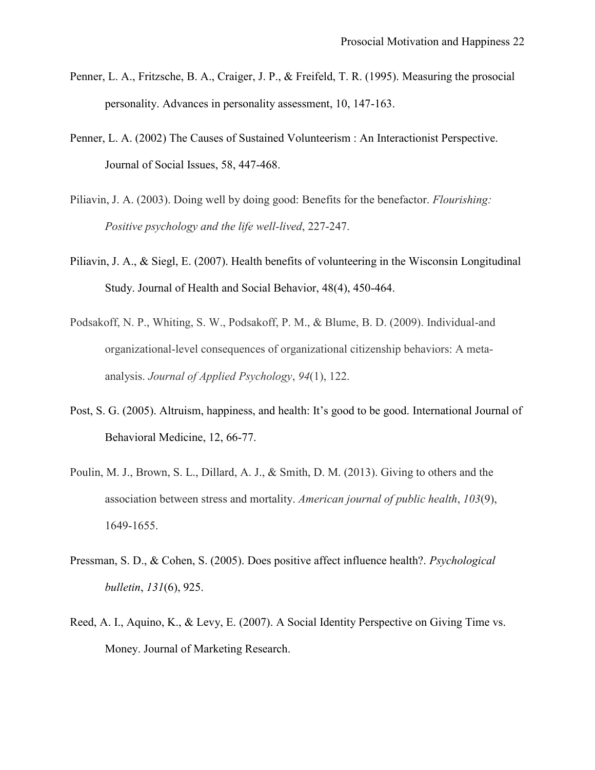- Penner, L. A., Fritzsche, B. A., Craiger, J. P., & Freifeld, T. R. (1995). Measuring the prosocial personality. Advances in personality assessment, 10, 147-163.
- Penner, L. A. (2002) The Causes of Sustained Volunteerism : An Interactionist Perspective. Journal of Social Issues, 58, 447-468.
- Piliavin, J. A. (2003). Doing well by doing good: Benefits for the benefactor. *Flourishing: Positive psychology and the life well-lived*, 227-247.
- Piliavin, J. A., & Siegl, E. (2007). Health benefits of volunteering in the Wisconsin Longitudinal Study. Journal of Health and Social Behavior, 48(4), 450-464.
- Podsakoff, N. P., Whiting, S. W., Podsakoff, P. M., & Blume, B. D. (2009). Individual-and organizational-level consequences of organizational citizenship behaviors: A metaanalysis. *Journal of Applied Psychology*, *94*(1), 122.
- Post, S. G. (2005). Altruism, happiness, and health: It's good to be good. International Journal of Behavioral Medicine, 12, 66-77.
- Poulin, M. J., Brown, S. L., Dillard, A. J., & Smith, D. M. (2013). Giving to others and the association between stress and mortality. *American journal of public health*, *103*(9), 1649-1655.
- Pressman, S. D., & Cohen, S. (2005). Does positive affect influence health?. *Psychological bulletin*, *131*(6), 925.
- Reed, A. I., Aquino, K., & Levy, E. (2007). A Social Identity Perspective on Giving Time vs. Money. Journal of Marketing Research.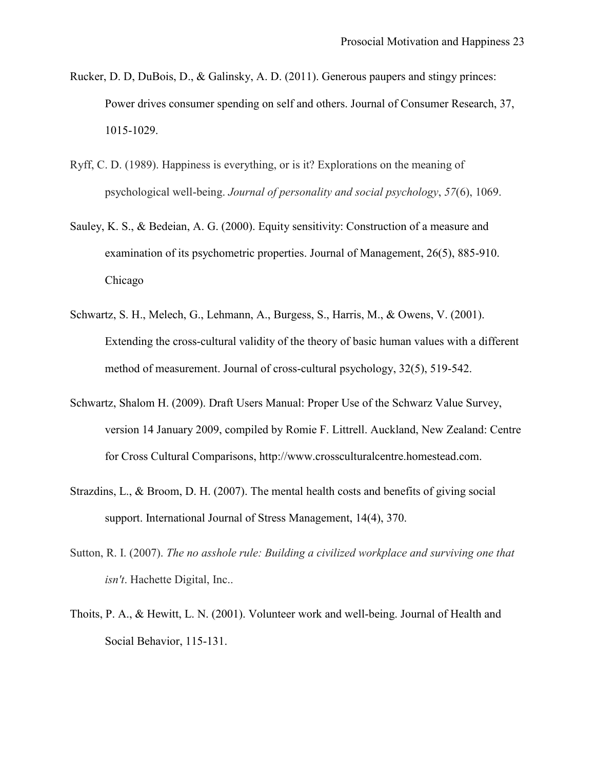- Rucker, D. D, DuBois, D., & Galinsky, A. D. (2011). Generous paupers and stingy princes: Power drives consumer spending on self and others. Journal of Consumer Research, 37, 1015-1029.
- Ryff, C. D. (1989). Happiness is everything, or is it? Explorations on the meaning of psychological well-being. *Journal of personality and social psychology*, *57*(6), 1069.
- Sauley, K. S., & Bedeian, A. G. (2000). Equity sensitivity: Construction of a measure and examination of its psychometric properties. Journal of Management, 26(5), 885-910. Chicago
- Schwartz, S. H., Melech, G., Lehmann, A., Burgess, S., Harris, M., & Owens, V. (2001). Extending the cross-cultural validity of the theory of basic human values with a different method of measurement. Journal of cross-cultural psychology, 32(5), 519-542.
- Schwartz, Shalom H. (2009). Draft Users Manual: Proper Use of the Schwarz Value Survey, version 14 January 2009, compiled by Romie F. Littrell. Auckland, New Zealand: Centre for Cross Cultural Comparisons, http://www.crossculturalcentre.homestead.com.
- Strazdins, L., & Broom, D. H. (2007). The mental health costs and benefits of giving social support. International Journal of Stress Management, 14(4), 370.
- Sutton, R. I. (2007). *The no asshole rule: Building a civilized workplace and surviving one that isn't*. Hachette Digital, Inc..
- Thoits, P. A., & Hewitt, L. N. (2001). Volunteer work and well-being. Journal of Health and Social Behavior, 115-131.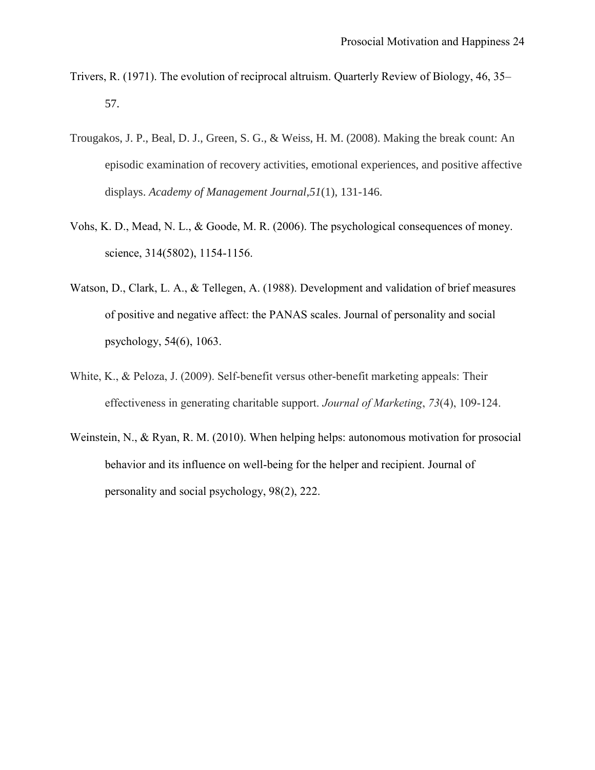- Trivers, R. (1971). The evolution of reciprocal altruism. Quarterly Review of Biology, 46, 35– 57.
- Trougakos, J. P., Beal, D. J., Green, S. G., & Weiss, H. M. (2008). Making the break count: An episodic examination of recovery activities, emotional experiences, and positive affective displays. *Academy of Management Journal*,*51*(1), 131-146.
- Vohs, K. D., Mead, N. L., & Goode, M. R. (2006). The psychological consequences of money. science, 314(5802), 1154-1156.
- Watson, D., Clark, L. A., & Tellegen, A. (1988). Development and validation of brief measures of positive and negative affect: the PANAS scales. Journal of personality and social psychology, 54(6), 1063.
- White, K., & Peloza, J. (2009). Self-benefit versus other-benefit marketing appeals: Their effectiveness in generating charitable support. *Journal of Marketing*, *73*(4), 109-124.
- Weinstein, N., & Ryan, R. M. (2010). When helping helps: autonomous motivation for prosocial behavior and its influence on well-being for the helper and recipient. Journal of personality and social psychology, 98(2), 222.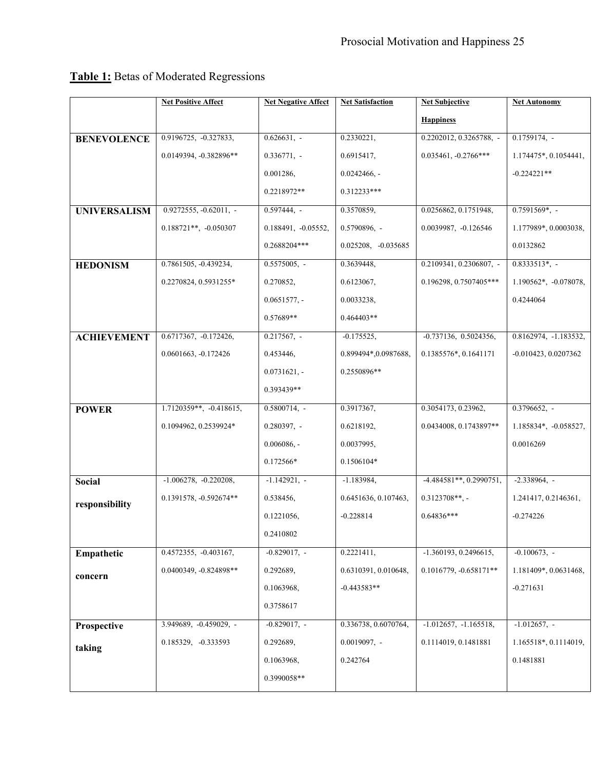# **Table 1:** Betas of Moderated Regressions

|                     | <b>Net Positive Affect</b>    | <b>Net Negative Affect</b> | <b>Net Satisfaction</b> | <b>Net Subjective</b>      | <b>Net Autonomy</b>                  |
|---------------------|-------------------------------|----------------------------|-------------------------|----------------------------|--------------------------------------|
|                     |                               |                            |                         | <b>Happiness</b>           |                                      |
| <b>BENEVOLENCE</b>  | 0.9196725, -0.327833,         | $0.626631, -$              | 0.2330221,              | 0.2202012, 0.3265788, -    | $0.1759174$ , -                      |
|                     | 0.0149394, -0.382896**        | $0.336771$ , -             | 0.6915417.              | $0.035461, -0.2766***$     | 1.174475*, 0.1054441,                |
|                     |                               | 0.001286,                  | $0.0242466, -$          |                            | $-0.224221**$                        |
|                     |                               | 0.2218972**                | 0.312233***             |                            |                                      |
| <b>UNIVERSALISM</b> | $0.9272555, -0.62011, -$      | $0.597444, -$              | 0.3570859,              | 0.0256862, 0.1751948,      | $0.7591569*, -$                      |
|                     | $0.188721**$ , -0.050307      | 0.188491, -0.05552,        | $0.5790896, -$          | 0.0039987, -0.126546       | 1.177989*, 0.0003038,                |
|                     |                               | 0.2688204***               | 0.025208, -0.035685     |                            | 0.0132862                            |
| <b>HEDONISM</b>     | 0.7861505, -0.439234,         | $0.5575005, -$             | 0.3639448,              | $0.2109341, 0.2306807, -$  | $0.8333513*, -$                      |
|                     | 0.2270824, 0.5931255*         | 0.270852,                  | 0.6123067,              | 0.196298, 0.7507405***     | $1.190562*, -0.078078,$              |
|                     |                               | $0.0651577, -$             | 0.0033238,              |                            | 0.4244064                            |
|                     |                               | 0.57689**                  | $0.464403**$            |                            |                                      |
| <b>ACHIEVEMENT</b>  | 0.6717367, -0.172426,         | $0.217567, -$              | $-0.175525,$            | $-0.737136, 0.5024356,$    | $0.8162974, -1.183532,$              |
|                     | 0.0601663, -0.172426          | 0.453446,                  | 0.899494*,0.0987688,    | 0.1385576*, 0.1641171      | $-0.010423, 0.0207362$               |
|                     |                               | $0.0731621, -$             | 0.2550896**             |                            |                                      |
|                     |                               | 0.393439**                 |                         |                            |                                      |
| <b>POWER</b>        | $1.7120359**$ , $-0.418615$ , | $0.5800714, -$             | 0.3917367,              | 0.3054173, 0.23962,        | $0.3796652, -$                       |
|                     | 0.1094962, 0.2539924*         | $0.280397, -$              | 0.6218192,              | 0.0434008, 0.1743897**     | $1.185834*, -0.058527,$              |
|                     |                               | $0.006086, -$              | 0.0037995,              |                            | 0.0016269                            |
|                     |                               | 0.172566*                  | 0.1506104*              |                            |                                      |
| <b>Social</b>       | $-1.006278, -0.220208,$       | $-1.142921$ , $-$          | $-1.183984,$            | $-4.484581**$ , 0.2990751, | $-2.338964, -$                       |
| responsibility      | 0.1391578, -0.592674**        | 0.538456,                  | 0.6451636, 0.107463,    | $0.3123708**$ , -          | 1.241417, 0.2146361,                 |
|                     |                               | 0.1221056,                 | $-0.228814$             | $0.64836***$               | $-0.274226$                          |
|                     |                               | 0.2410802                  |                         |                            |                                      |
| Empathetic          | 0.4572355, -0.403167,         | $-0.829017$ , -            | 0.2221411,              | $-1.360193, 0.2496615,$    | $-0.100673$ , $-$                    |
| concern             | 0.0400349, -0.824898**        | 0.292689,                  | 0.6310391, 0.010648,    | $0.1016779, -0.658171**$   | 1.181409*, 0.0631468,                |
|                     |                               | 0.1063968,                 | $-0.443583**$           |                            | $-0.271631$                          |
|                     |                               | 0.3758617                  |                         |                            |                                      |
| Prospective         | 3.949689, -0.459029, -        | $-0.829017$ , $-$          | 0.336738, 0.6070764,    | $-1.012657, -1.165518,$    | $-1.012657, -$                       |
| taking              | 0.185329, -0.333593           | 0.292689,                  | $0.0019097, -$          | 0.1114019, 0.1481881       | $1.165518$ <sup>*</sup> , 0.1114019, |
|                     |                               | 0.1063968,                 | 0.242764                |                            | 0.1481881                            |
|                     |                               | 0.3990058**                |                         |                            |                                      |
|                     |                               |                            |                         |                            |                                      |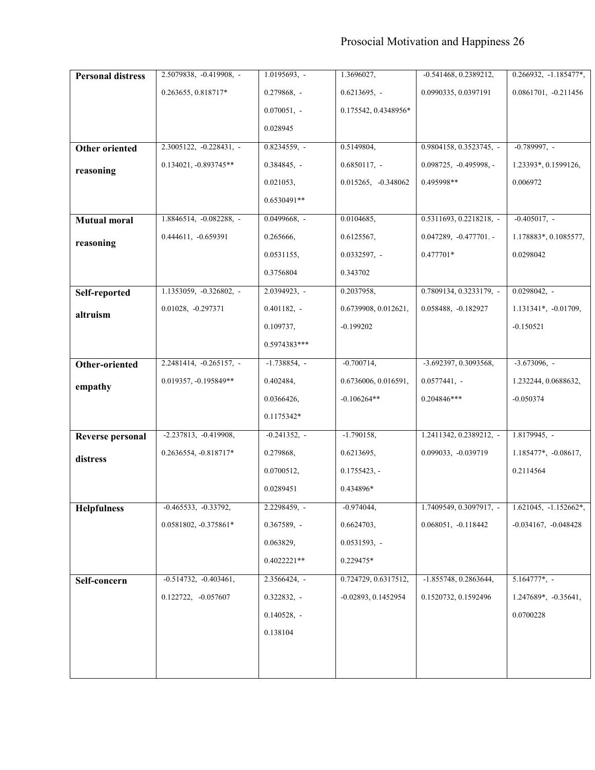| <b>Personal distress</b> | 2.5079838, -0.419908, -   | $1.0195693, -$  | 1.3696027,            | $-0.541468, 0.2389212,$  | $0.266932, -1.185477*,$             |
|--------------------------|---------------------------|-----------------|-----------------------|--------------------------|-------------------------------------|
|                          | 0.263655, 0.818717*       | $0.279868, -$   | $0.6213695, -$        | 0.0990335, 0.0397191     | $0.0861701, -0.211456$              |
|                          |                           |                 |                       |                          |                                     |
|                          |                           | $0.070051, -$   | 0.175542, 0.4348956*  |                          |                                     |
|                          |                           | 0.028945        |                       |                          |                                     |
| <b>Other oriented</b>    | $2.3005122, -0.228431, -$ | $0.8234559, -$  | 0.5149804,            | 0.9804158, 0.3523745, -  | $-0.789997, -$                      |
| reasoning                | 0.134021, -0.893745**     | $0.384845, -$   | $0.6850117, -$        | $0.098725, -0.495998, -$ | 1.23393*, 0.1599126,                |
|                          |                           | 0.021053,       | 0.015265, -0.348062   | 0.495998**               | 0.006972                            |
|                          |                           | $0.6530491**$   |                       |                          |                                     |
| <b>Mutual moral</b>      | 1.8846514, -0.082288, -   | $0.0499668, -$  | 0.0104685,            | 0.5311693, 0.2218218, -  | $-0.405017, -$                      |
|                          | 0.444611, -0.659391       | 0.265666,       | 0.6125567,            | $0.047289, -0.477701. -$ | 1.178883*, 0.1085577,               |
| reasoning                |                           | 0.0531155,      | $0.0332597, -$        | 0.477701*                | 0.0298042                           |
|                          |                           | 0.3756804       | 0.343702              |                          |                                     |
| Self-reported            | 1.1353059, -0.326802, -   | $2.0394923$ , - | 0.2037958,            | 0.7809134, 0.3233179, -  | $0.0298042, -$                      |
|                          | 0.01028, -0.297371        | $0.401182, -$   | 0.6739908, 0.012621,  | 0.058488, -0.182927      | $1.131341*, -0.01709,$              |
| altruism                 |                           | 0.109737,       | $-0.199202$           |                          | $-0.150521$                         |
|                          |                           | 0.5974383***    |                       |                          |                                     |
|                          | $2.2481414, -0.265157, -$ | $-1.738854, -$  | $-0.700714,$          | $-3.692397, 0.3093568,$  | $-3.673096, -$                      |
| Other-oriented           |                           |                 |                       |                          |                                     |
| empathy                  | 0.019357, -0.195849**     | 0.402484,       | 0.6736006, 0.016591,  | $0.0577441$ , -          | 1.232244, 0.0688632,                |
|                          |                           | 0.0366426,      | $-0.106264**$         | 0.204846***              | $-0.050374$                         |
|                          |                           | 0.1175342*      |                       |                          |                                     |
| <b>Reverse personal</b>  | $-2.237813, -0.419908,$   | $-0.241352, -$  | $-1.790158,$          | 1.2411342, 0.2389212, -  | $1.8179945$ , -                     |
| distress                 | 0.2636554, -0.818717*     | 0.279868,       | 0.6213695,            | 0.099033, -0.039719      | $1.185477$ <sup>*</sup> , -0.08617, |
|                          |                           | 0.0700512,      | $0.1755423, -$        |                          | 0.2114564                           |
|                          |                           | 0.0289451       | 0.434896*             |                          |                                     |
| <b>Helpfulness</b>       | $-0.465533, -0.33792,$    | 2.2298459, -    | $-0.974044,$          | 1.7409549, 0.3097917, -  | 1.621045, -1.152662*,               |
|                          | 0.0581802, -0.375861*     | $0.367589, -$   | 0.6624703,            | $0.068051, -0.118442$    | $-0.034167, -0.048428$              |
|                          |                           | 0.063829,       | $0.0531593, -$        |                          |                                     |
|                          |                           | $0.4022221**$   | 0.229475*             |                          |                                     |
| Self-concern             | $-0.514732, -0.403461,$   | 2.3566424, -    | 0.724729, 0.6317512,  | $-1.855748, 0.2863644,$  | $5.164777*, -$                      |
|                          | $0.122722, -0.057607$     | $0.322832. -$   | $-0.02893, 0.1452954$ | 0.1520732, 0.1592496     | $1.247689^*$ , $-0.35641$ ,         |
|                          |                           | $0.140528, -$   |                       |                          | 0.0700228                           |
|                          |                           |                 |                       |                          |                                     |
|                          |                           | 0.138104        |                       |                          |                                     |
|                          |                           |                 |                       |                          |                                     |
|                          |                           |                 |                       |                          |                                     |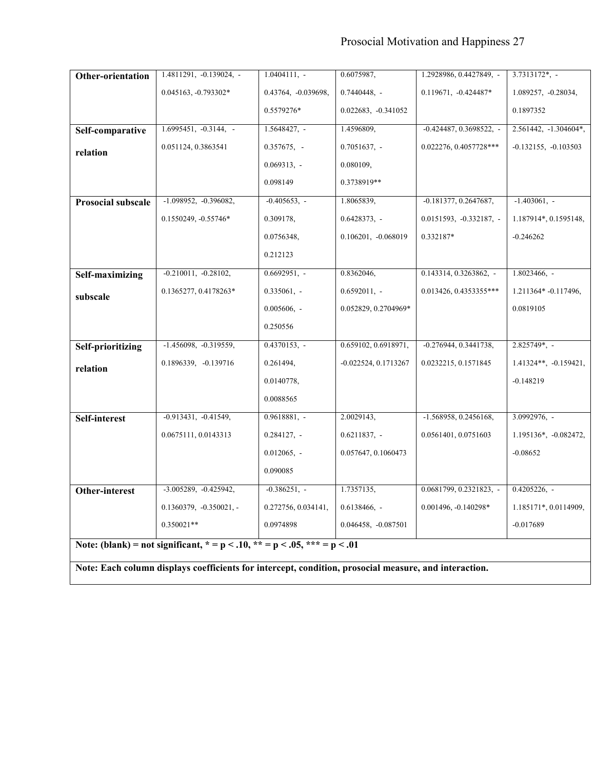| Other-orientation                                                                                     | $1.4811291, -0.139024, -$ | $1.0404111, -$      | 0.6075987,             | 1.2928986, 0.4427849, -   | $3.7313172*, -$         |
|-------------------------------------------------------------------------------------------------------|---------------------------|---------------------|------------------------|---------------------------|-------------------------|
|                                                                                                       | 0.045163, -0.793302*      | 0.43764, -0.039698, | $0.7440448, -$         | 0.119671, -0.424487*      | 1.089257, -0.28034,     |
|                                                                                                       |                           |                     |                        |                           |                         |
|                                                                                                       |                           | 0.5579276*          | 0.022683, -0.341052    |                           | 0.1897352               |
| Self-comparative                                                                                      | $1.6995451, -0.3144, -$   | $1.5648427, -$      | 1.4596809,             | $-0.424487, 0.3698522, -$ | $2.561442, -1.304604*,$ |
| relation                                                                                              | 0.051124, 0.3863541       | $0.357675, -$       | $0.7051637, -$         | 0.022276, 0.4057728 ***   | $-0.132155, -0.103503$  |
|                                                                                                       |                           | $0.069313$ , -      | 0.080109,              |                           |                         |
|                                                                                                       |                           | 0.098149            | 0.3738919**            |                           |                         |
| <b>Prosocial subscale</b>                                                                             | $-1.098952, -0.396082,$   | $-0.405653, -$      | 1.8065839,             | $-0.181377, 0.2647687,$   | $-1.403061$ , -         |
|                                                                                                       | 0.1550249, -0.55746*      | 0.309178,           | $0.6428373$ , -        | $0.0151593, -0.332187, -$ | 1.187914*, 0.1595148,   |
|                                                                                                       |                           | 0.0756348,          | 0.106201, -0.068019    | 0.332187*                 | $-0.246262$             |
|                                                                                                       |                           | 0.212123            |                        |                           |                         |
| Self-maximizing                                                                                       | $-0.210011, -0.28102,$    | $0.6692951, -$      | 0.8362046,             | $0.143314, 0.3263862, -$  | $1.8023466, -$          |
| subscale                                                                                              | 0.1365277, 0.4178263*     | $0.335061, -$       | $0.6592011, -$         | 0.013426, 0.4353355***    | 1.211364* -0.117496,    |
|                                                                                                       |                           | $0.005606, -$       | 0.052829, 0.2704969*   |                           | 0.0819105               |
|                                                                                                       |                           | 0.250556            |                        |                           |                         |
| Self-prioritizing                                                                                     | $-1.456098, -0.319559,$   | $0.4370153, -$      | 0.659102, 0.6918971,   | $-0.276944, 0.3441738,$   | $2.825749*, -$          |
| relation                                                                                              | 0.1896339, -0.139716      | 0.261494,           | $-0.022524, 0.1713267$ | 0.0232215, 0.1571845      | 1.41324**, -0.159421,   |
|                                                                                                       |                           | 0.0140778,          |                        |                           | $-0.148219$             |
|                                                                                                       |                           | 0.0088565           |                        |                           |                         |
| Self-interest                                                                                         | $-0.913431, -0.41549,$    | $0.9618881, -$      | 2.0029143,             | $-1.568958, 0.2456168,$   | $3.0992976, -$          |
|                                                                                                       | 0.0675111, 0.0143313      | $0.284127, -$       | $0.6211837, -$         | 0.0561401, 0.0751603      | 1.195136*, -0.082472,   |
|                                                                                                       |                           | $0.012065, -$       | 0.057647, 0.1060473    |                           | $-0.08652$              |
|                                                                                                       |                           | 0.090085            |                        |                           |                         |
| Other-interest                                                                                        | $-3.005289, -0.425942,$   | $-0.386251, -$      | 1.7357135,             | $0.0681799, 0.2321823, -$ | $0.4205226, -$          |
|                                                                                                       |                           |                     | $0.6138466, -$         |                           |                         |
|                                                                                                       | $0.1360379, -0.350021, -$ | 0.272756, 0.034141, |                        | 0.001496, -0.140298*      | 1.185171*, 0.0114909,   |
|                                                                                                       | $0.350021**$              | 0.0974898           | 0.046458, -0.087501    |                           | $-0.017689$             |
| Note: (blank) = not significant, $* = p < .10$ , $** = p < .05$ , $** = p < .01$                      |                           |                     |                        |                           |                         |
| Note: Each column displays coefficients for intercept, condition, prosocial measure, and interaction. |                           |                     |                        |                           |                         |
|                                                                                                       |                           |                     |                        |                           |                         |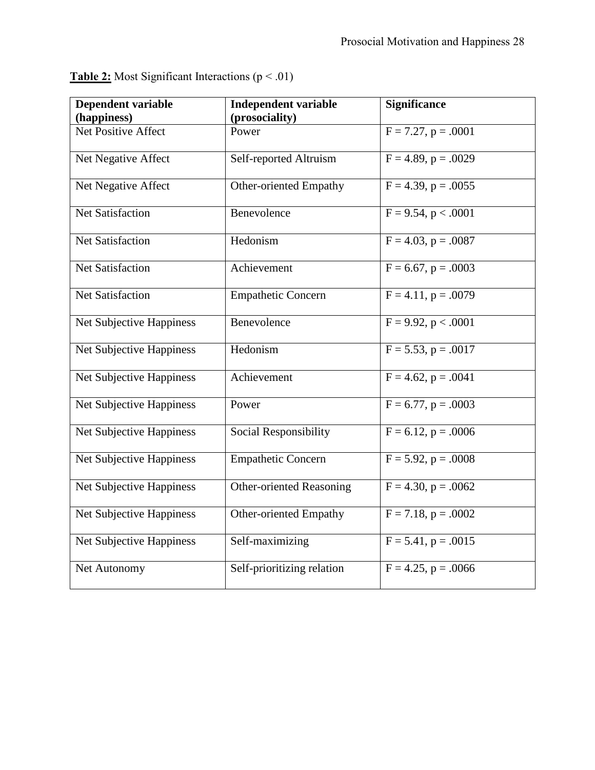| <b>Dependent variable</b><br>(happiness) | <b>Independent variable</b><br>(prosociality) | <b>Significance</b>                 |
|------------------------------------------|-----------------------------------------------|-------------------------------------|
| <b>Net Positive Affect</b>               | Power                                         | $F = 7.27$ , $p = .0001$            |
| Net Negative Affect                      | Self-reported Altruism                        | $F = 4.89$ , $p = .0029$            |
| Net Negative Affect                      | <b>Other-oriented Empathy</b>                 | $F = 4.39$ , $p = .0055$            |
| <b>Net Satisfaction</b>                  | Benevolence                                   | $F = 9.54$ , $p < .0001$            |
| <b>Net Satisfaction</b>                  | Hedonism                                      | $F = 4.03$ , $p = .0087$            |
| <b>Net Satisfaction</b>                  | Achievement                                   | $F = 6.67$ , $p = .0003$            |
| <b>Net Satisfaction</b>                  | <b>Empathetic Concern</b>                     | $F = 4.1\overline{1, p} = .0079$    |
| Net Subjective Happiness                 | Benevolence                                   | $F = 9.92, p < .0001$               |
| Net Subjective Happiness                 | Hedonism                                      | $F = 5.53$ , $p = .0017$            |
| Net Subjective Happiness                 | Achievement                                   | $\overline{F} = 4.62$ , $p = .0041$ |
| Net Subjective Happiness                 | Power                                         | $F = 6.77$ , $p = .0003$            |
| Net Subjective Happiness                 | Social Responsibility                         | $\overline{F = 6.12}$ , $p = .0006$ |
| Net Subjective Happiness                 | <b>Empathetic Concern</b>                     | $\overline{F}$ = 5.92, p = .0008    |
| Net Subjective Happiness                 | <b>Other-oriented Reasoning</b>               | $F = 4.30, p = .0062$               |
| Net Subjective Happiness                 | <b>Other-oriented Empathy</b>                 | $F = 7.18$ , $p = .0002$            |
| Net Subjective Happiness                 | Self-maximizing                               | $F = 5.41$ , $p = .0015$            |
| Net Autonomy                             | Self-prioritizing relation                    | $F = 4.25$ , $p = .0066$            |

**Table 2:** Most Significant Interactions (p < .01)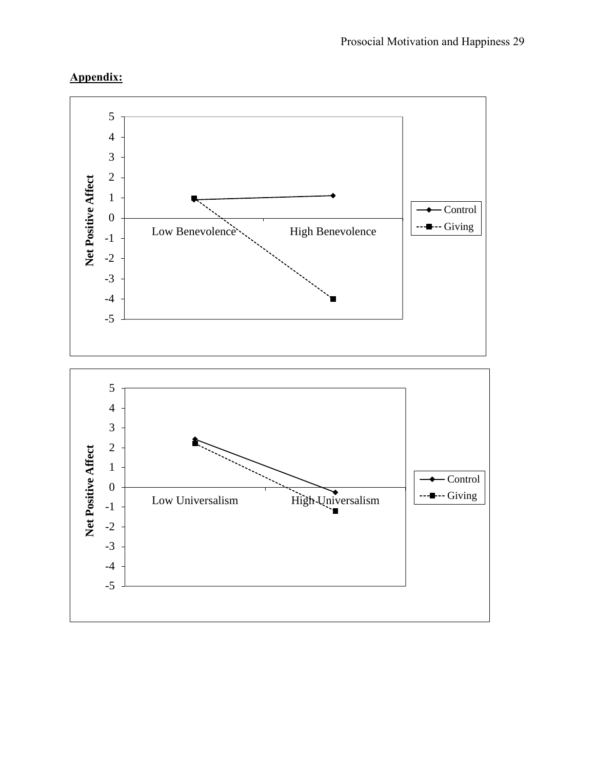### **Appendix:**

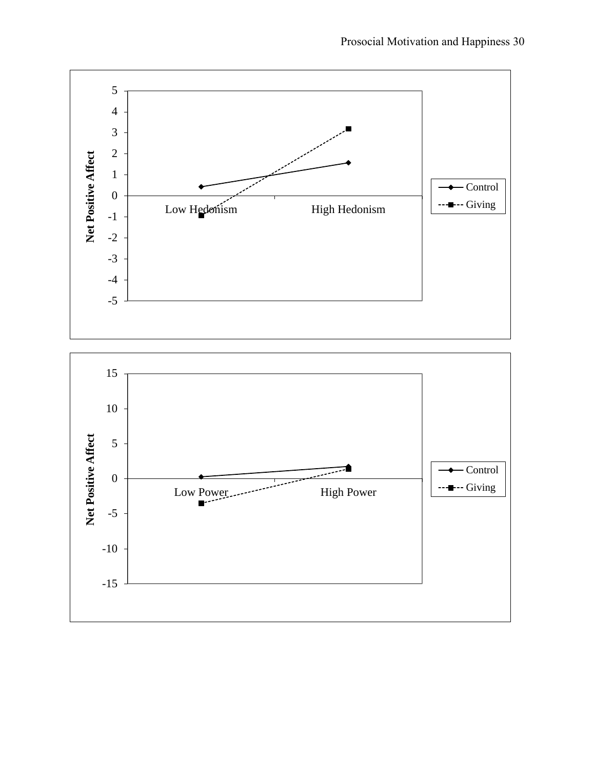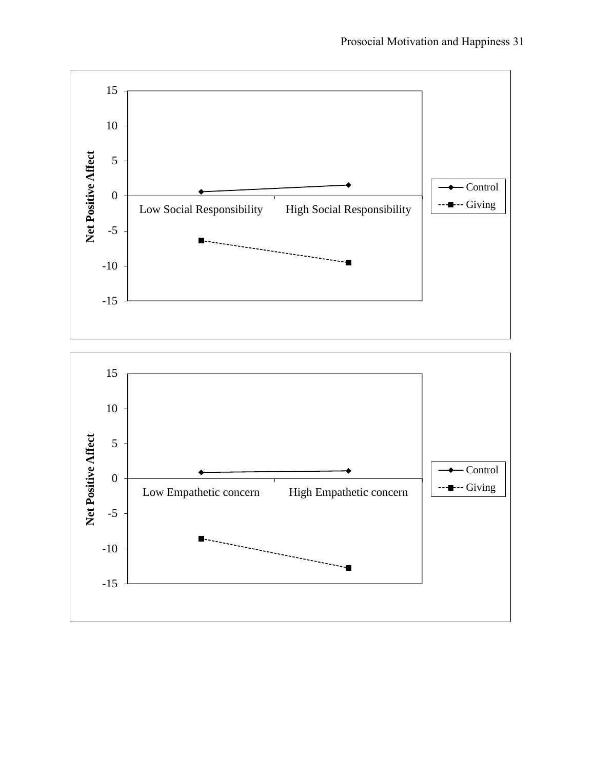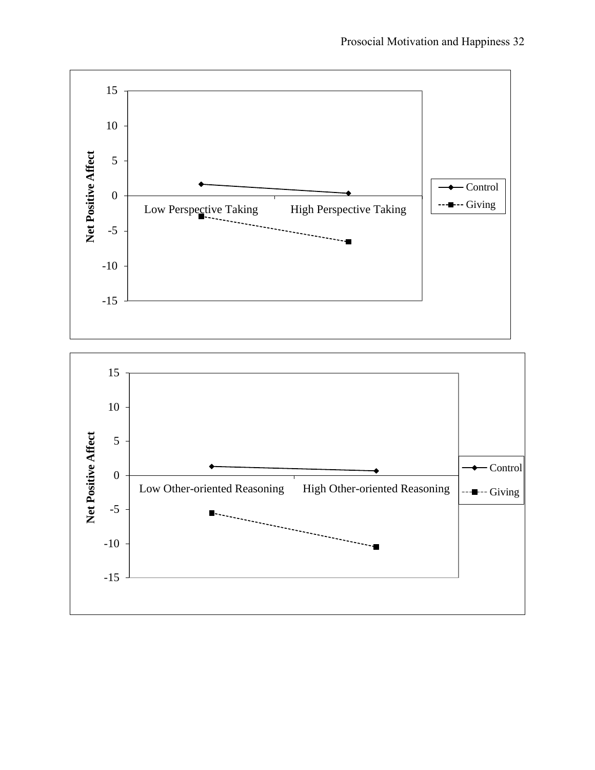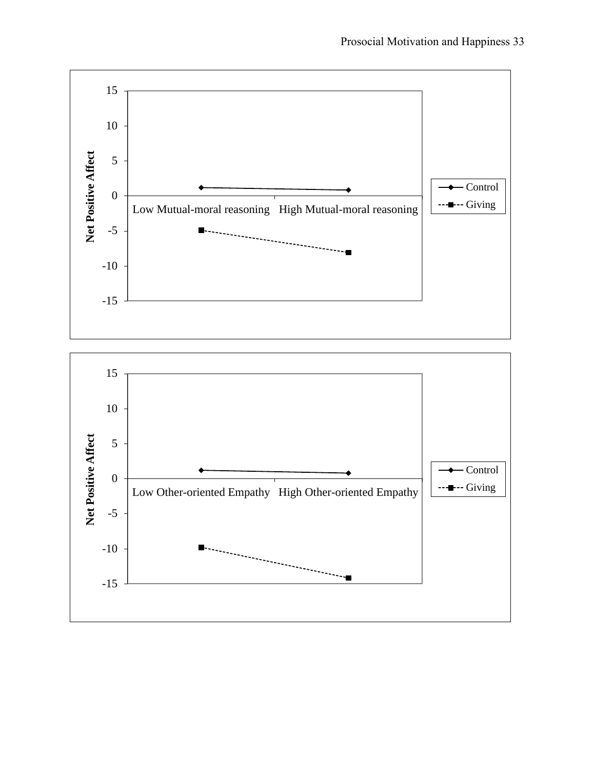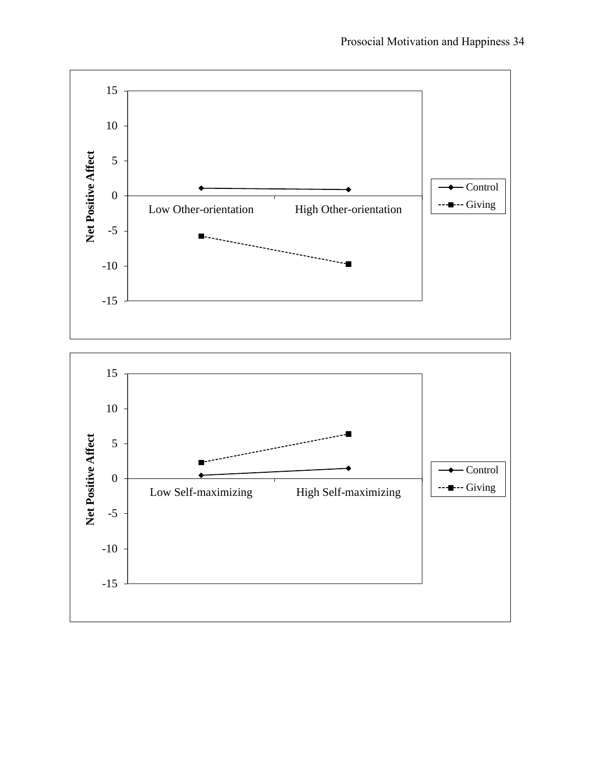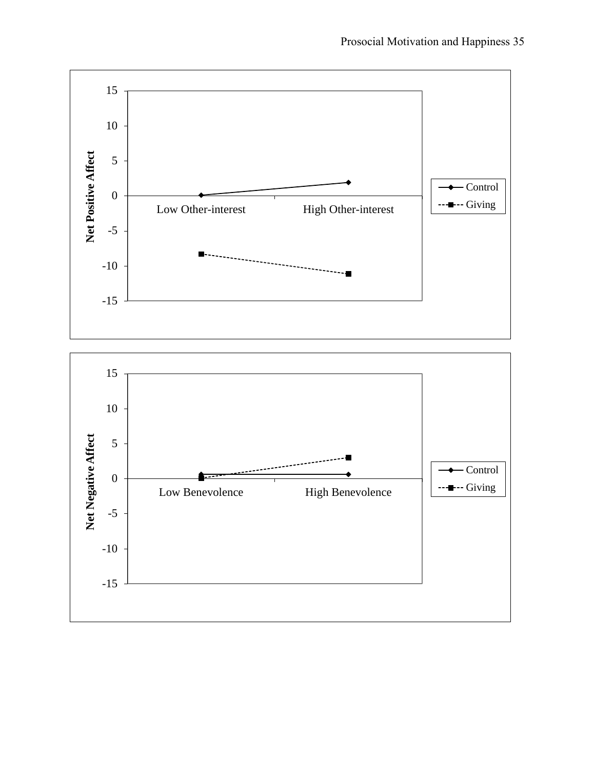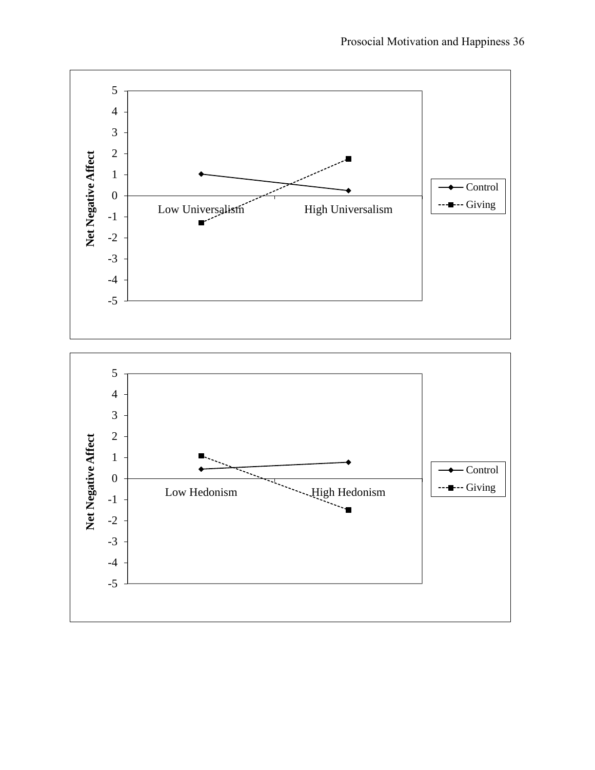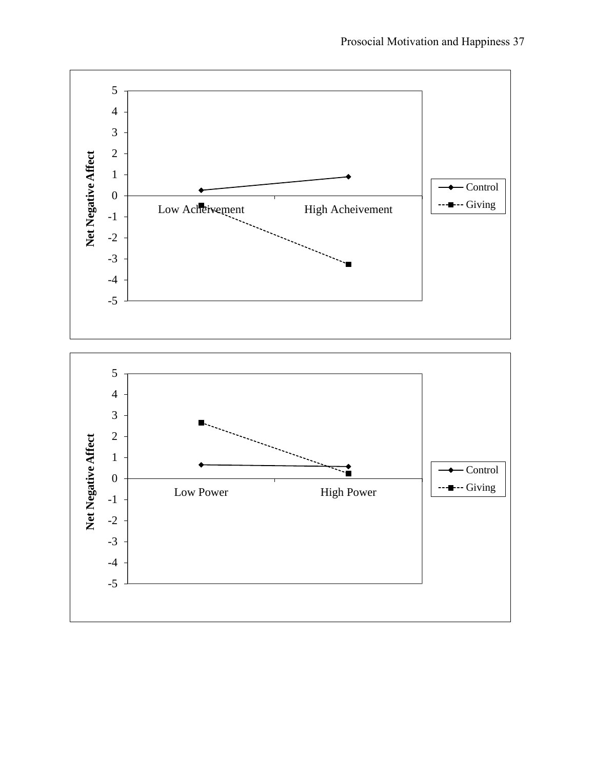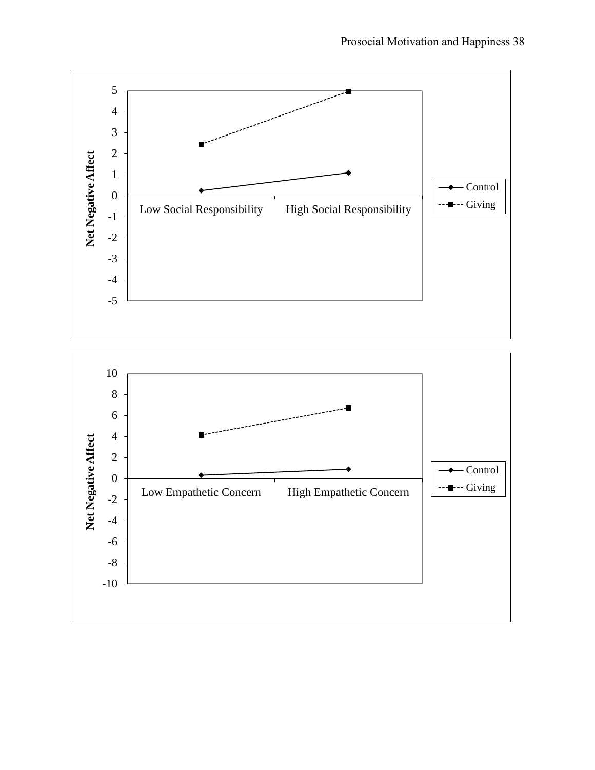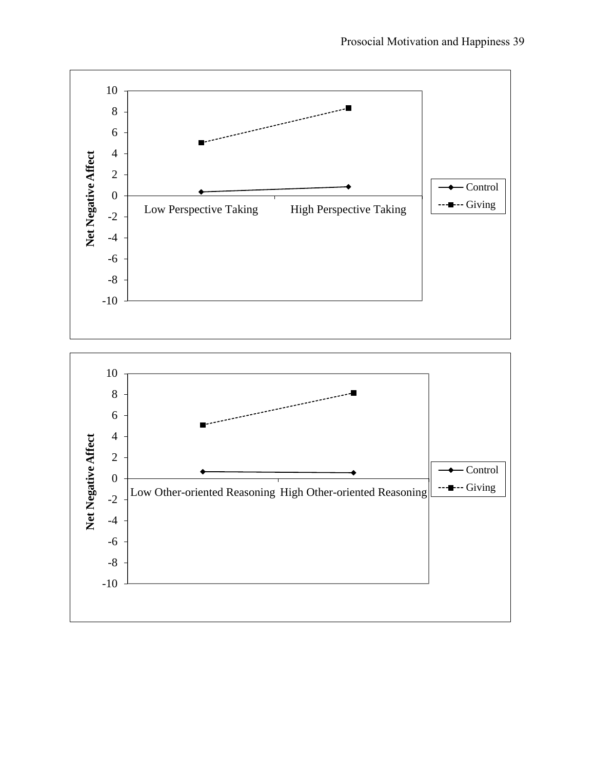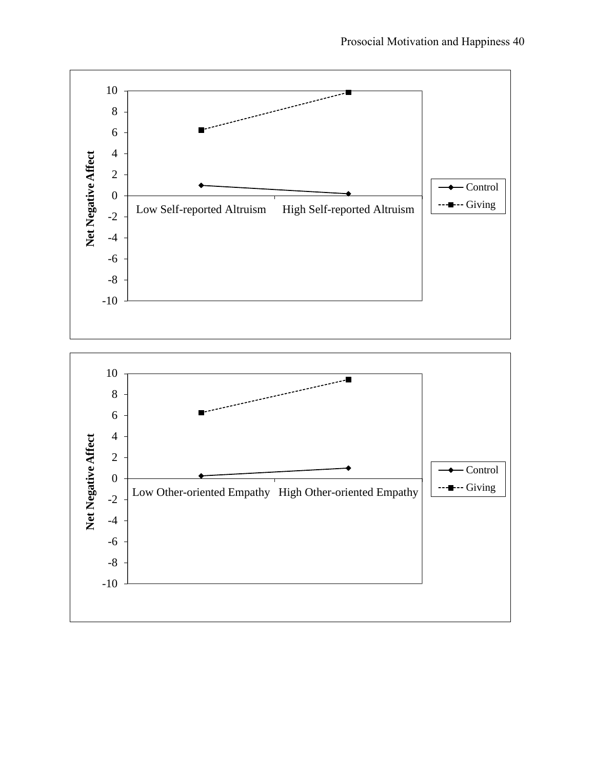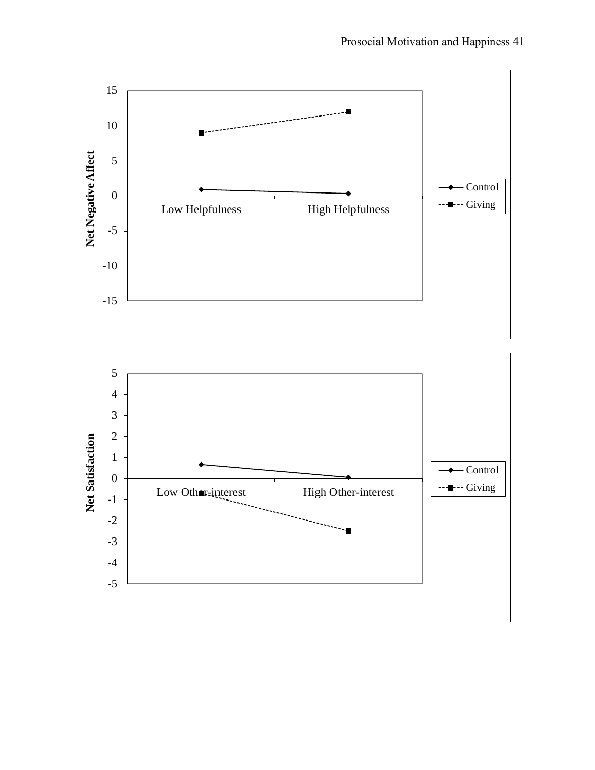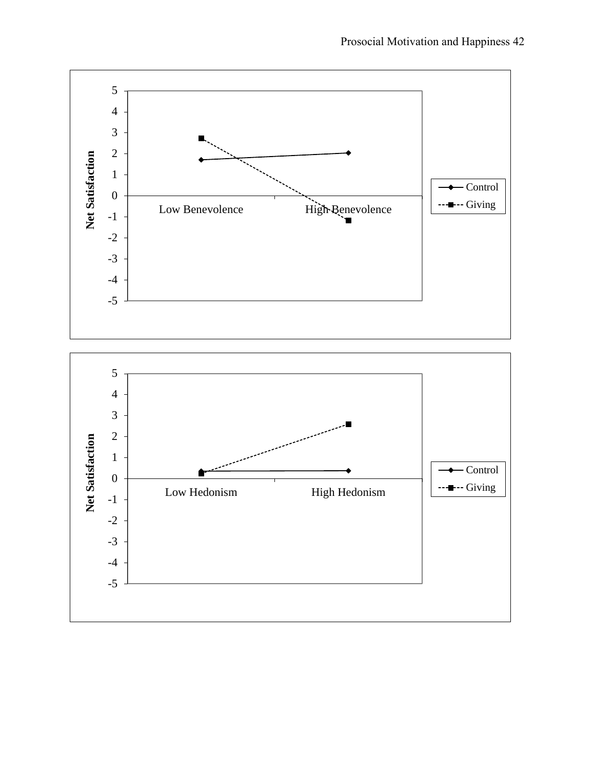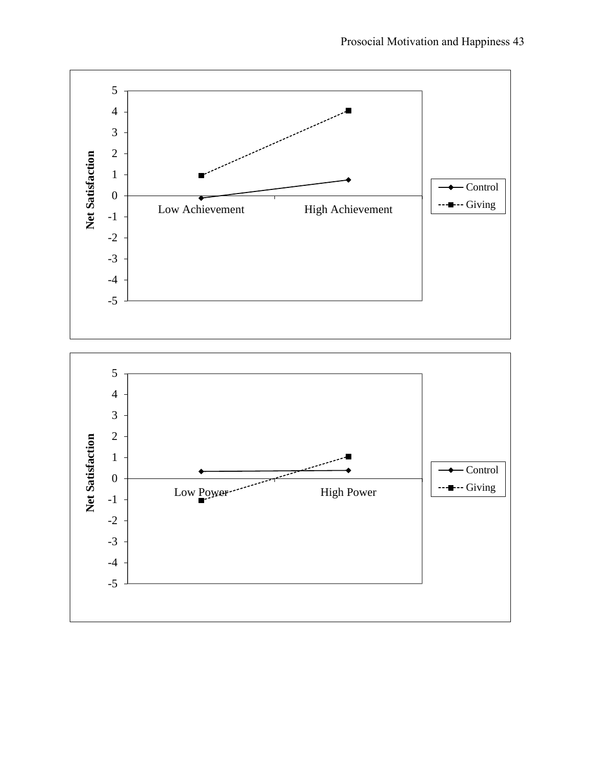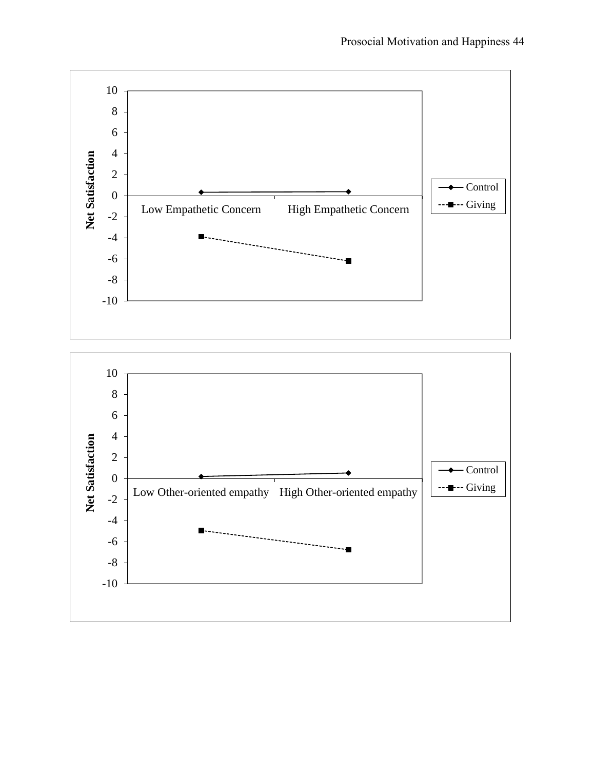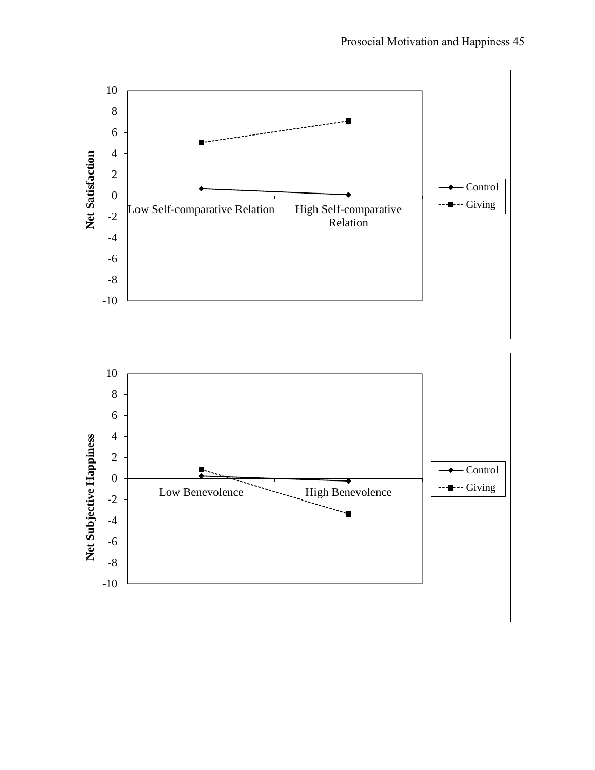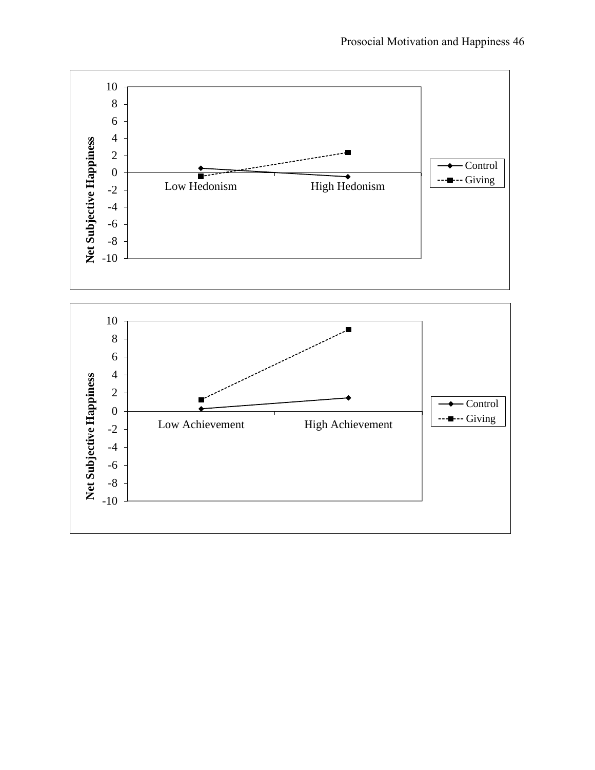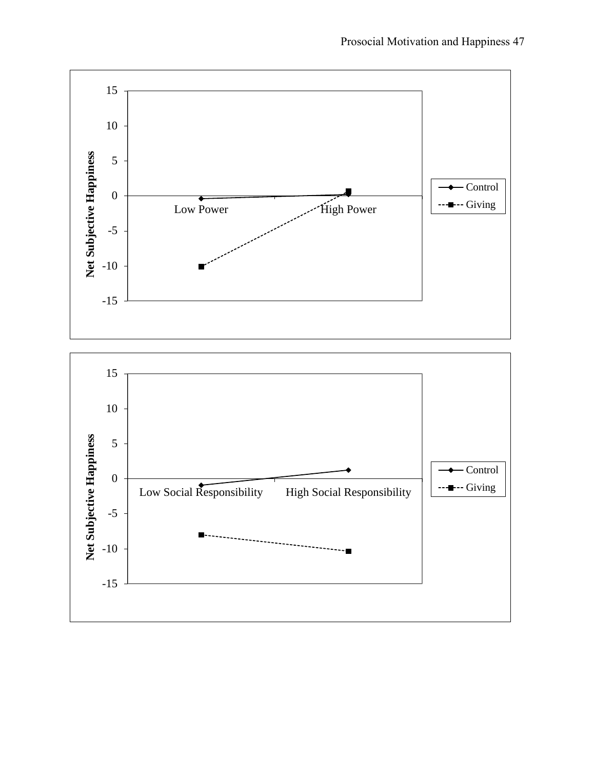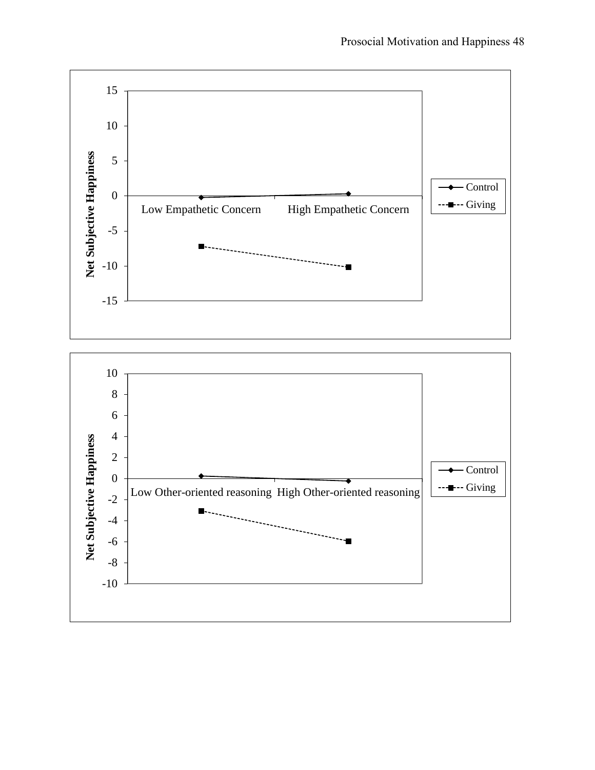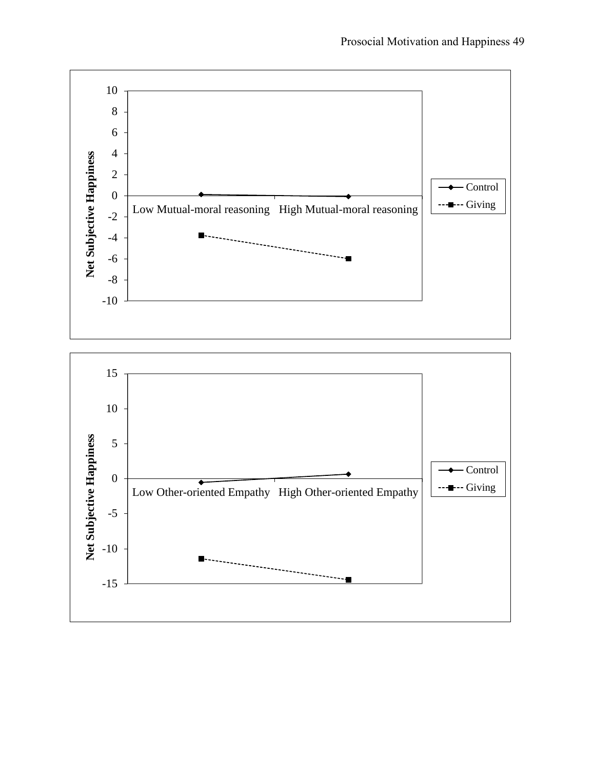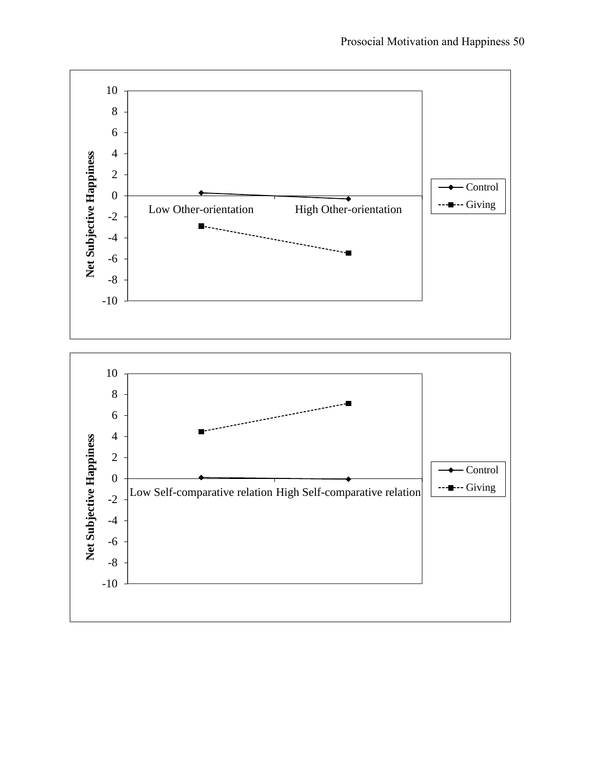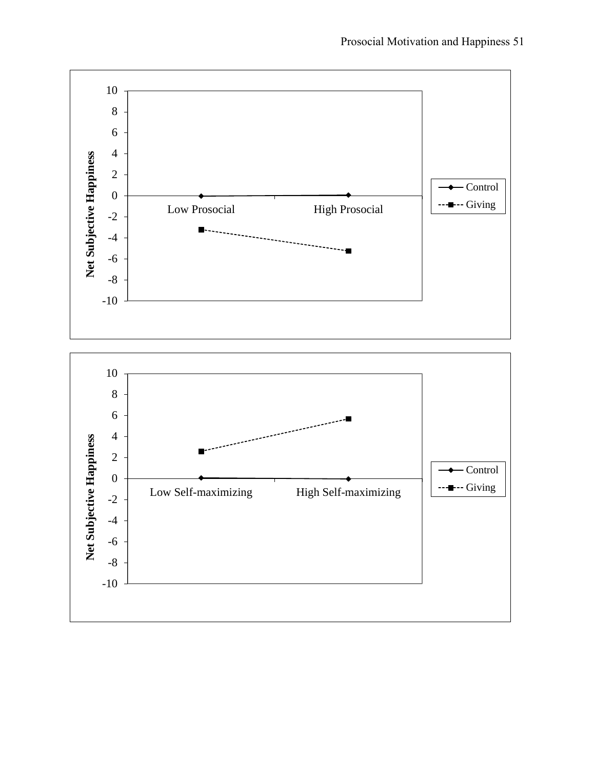